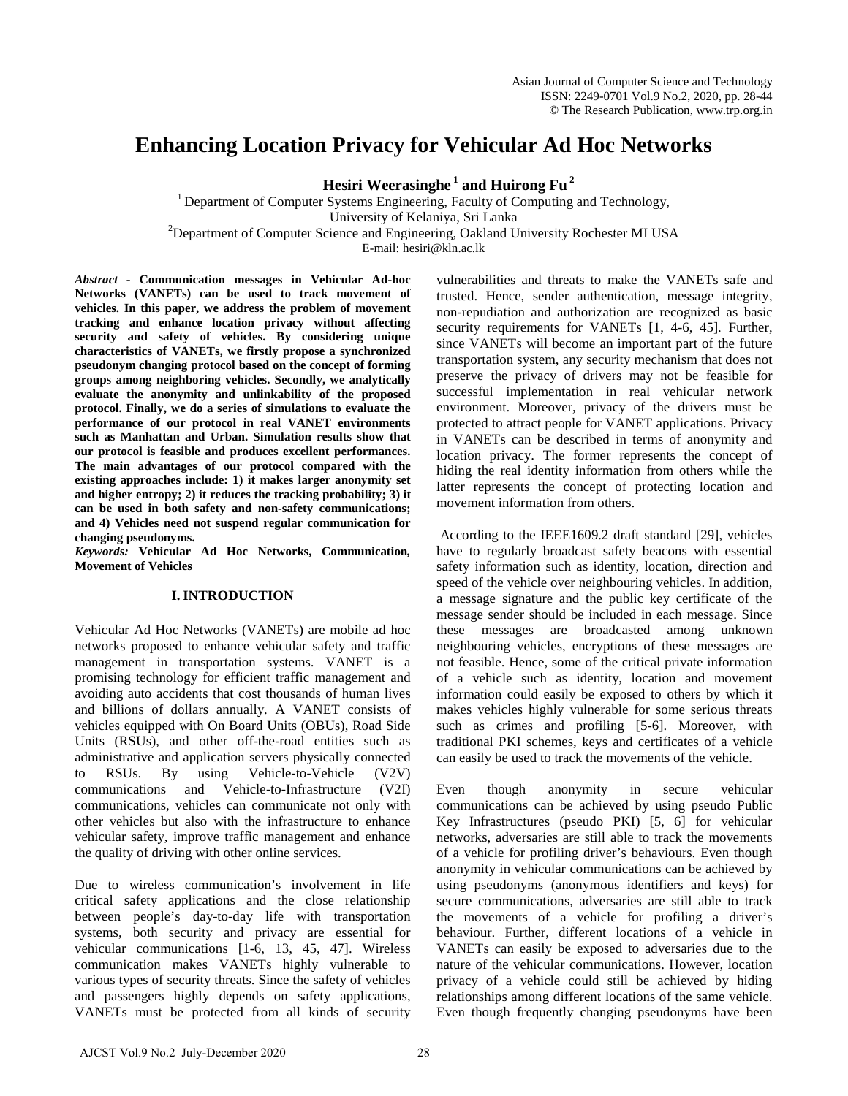# **Enhancing Location Privacy for Vehicular Ad Hoc Networks**

**Hesiri Weerasinghe 1 and Huirong Fu 2**

<sup>1</sup> Department of Computer Systems Engineering, Faculty of Computing and Technology, University of Kelaniya, Sri Lanka<br><sup>2</sup>Department of Computer Science and Engineering, Oakland University Rochester MI USA E-mail: hesiri@kln.ac.lk

*Abstract* **- Communication messages in Vehicular Ad-hoc Networks (VANETs) can be used to track movement of vehicles. In this paper, we address the problem of movement tracking and enhance location privacy without affecting security and safety of vehicles. By considering unique characteristics of VANETs, we firstly propose a synchronized pseudonym changing protocol based on the concept of forming groups among neighboring vehicles. Secondly, we analytically evaluate the anonymity and unlinkability of the proposed protocol. Finally, we do a series of simulations to evaluate the performance of our protocol in real VANET environments such as Manhattan and Urban. Simulation results show that our protocol is feasible and produces excellent performances. The main advantages of our protocol compared with the existing approaches include: 1) it makes larger anonymity set and higher entropy; 2) it reduces the tracking probability; 3) it can be used in both safety and non-safety communications; and 4) Vehicles need not suspend regular communication for changing pseudonyms.** 

*Keywords:* **Vehicular Ad Hoc Networks, Communication***,*  **Movement of Vehicles**

# **I. INTRODUCTION**

Vehicular Ad Hoc Networks (VANETs) are mobile ad hoc networks proposed to enhance vehicular safety and traffic management in transportation systems. VANET is a promising technology for efficient traffic management and avoiding auto accidents that cost thousands of human lives and billions of dollars annually. A VANET consists of vehicles equipped with On Board Units (OBUs), Road Side Units (RSUs), and other off-the-road entities such as administrative and application servers physically connected to RSUs. By using Vehicle-to-Vehicle (V2V) communications and Vehicle-to-Infrastructure (V2I) communications, vehicles can communicate not only with other vehicles but also with the infrastructure to enhance vehicular safety, improve traffic management and enhance the quality of driving with other online services.

Due to wireless communication's involvement in life critical safety applications and the close relationship between people's day-to-day life with transportation systems, both security and privacy are essential for vehicular communications [1-6, 13, 45, 47]. Wireless communication makes VANETs highly vulnerable to various types of security threats. Since the safety of vehicles and passengers highly depends on safety applications, VANETs must be protected from all kinds of security

vulnerabilities and threats to make the VANETs safe and trusted. Hence, sender authentication, message integrity, non-repudiation and authorization are recognized as basic security requirements for VANETs [1, 4-6, 45]. Further, since VANETs will become an important part of the future transportation system, any security mechanism that does not preserve the privacy of drivers may not be feasible for successful implementation in real vehicular network environment. Moreover, privacy of the drivers must be protected to attract people for VANET applications. Privacy in VANETs can be described in terms of anonymity and location privacy. The former represents the concept of hiding the real identity information from others while the latter represents the concept of protecting location and movement information from others.

According to the IEEE1609.2 draft standard [29], vehicles have to regularly broadcast safety beacons with essential safety information such as identity, location, direction and speed of the vehicle over neighbouring vehicles. In addition, a message signature and the public key certificate of the message sender should be included in each message. Since these messages are broadcasted among unknown neighbouring vehicles, encryptions of these messages are not feasible. Hence, some of the critical private information of a vehicle such as identity, location and movement information could easily be exposed to others by which it makes vehicles highly vulnerable for some serious threats such as crimes and profiling [5-6]. Moreover, with traditional PKI schemes, keys and certificates of a vehicle can easily be used to track the movements of the vehicle.

Even though anonymity in secure vehicular communications can be achieved by using pseudo Public Key Infrastructures (pseudo PKI) [5, 6] for vehicular networks, adversaries are still able to track the movements of a vehicle for profiling driver's behaviours. Even though anonymity in vehicular communications can be achieved by using pseudonyms (anonymous identifiers and keys) for secure communications, adversaries are still able to track the movements of a vehicle for profiling a driver's behaviour. Further, different locations of a vehicle in VANETs can easily be exposed to adversaries due to the nature of the vehicular communications. However, location privacy of a vehicle could still be achieved by hiding relationships among different locations of the same vehicle. Even though frequently changing pseudonyms have been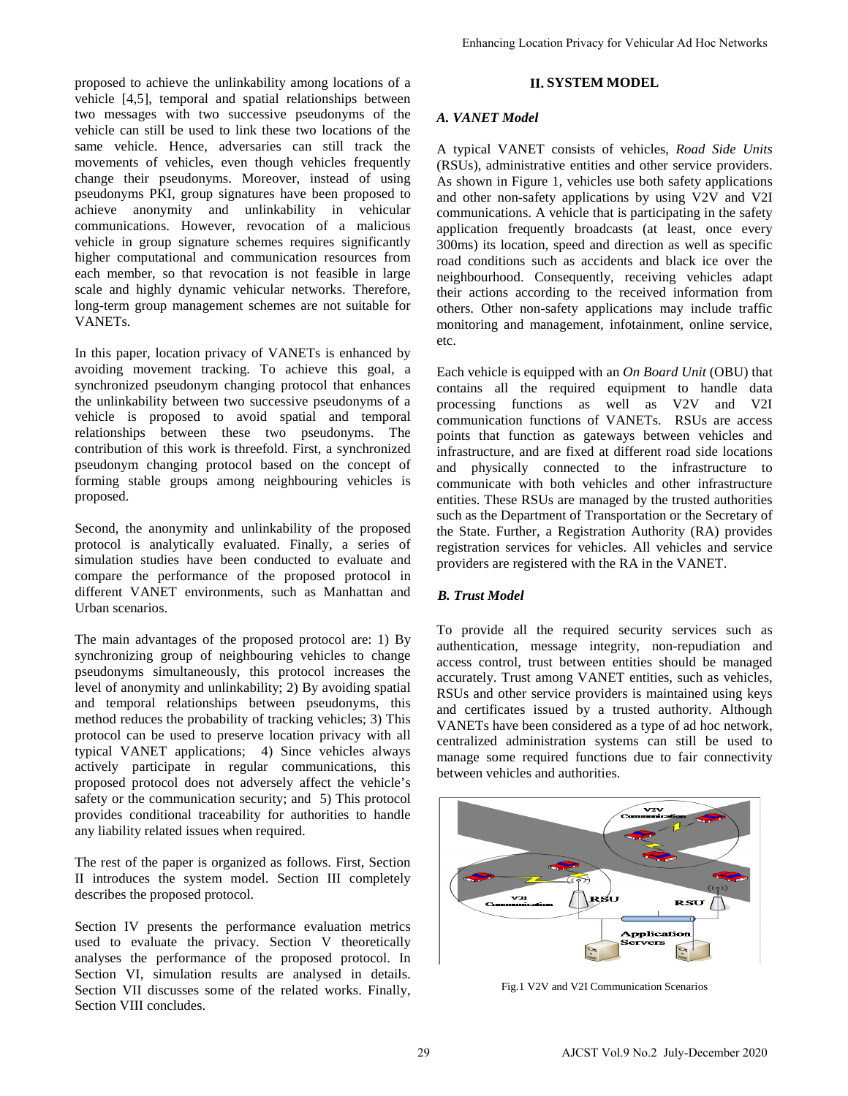proposed to achieve the unlinkability among locations of a vehicle [4,5], temporal and spatial relationships between two messages with two successive pseudonyms of the vehicle can still be used to link these two locations of the same vehicle. Hence, adversaries can still track the movements of vehicles, even though vehicles frequently change their pseudonyms. Moreover, instead of using pseudonyms PKI, group signatures have been proposed to achieve anonymity and unlinkability in vehicular communications. However, revocation of a malicious vehicle in group signature schemes requires significantly higher computational and communication resources from each member, so that revocation is not feasible in large scale and highly dynamic vehicular networks. Therefore, long-term group management schemes are not suitable for VANETs.

In this paper, location privacy of VANETs is enhanced by avoiding movement tracking. To achieve this goal, a synchronized pseudonym changing protocol that enhances the unlinkability between two successive pseudonyms of a vehicle is proposed to avoid spatial and temporal relationships between these two pseudonyms. The contribution of this work is threefold. First, a synchronized pseudonym changing protocol based on the concept of forming stable groups among neighbouring vehicles is proposed.

Second, the anonymity and unlinkability of the proposed protocol is analytically evaluated. Finally, a series of simulation studies have been conducted to evaluate and compare the performance of the proposed protocol in different VANET environments, such as Manhattan and Urban scenarios.

The main advantages of the proposed protocol are: 1) By synchronizing group of neighbouring vehicles to change pseudonyms simultaneously, this protocol increases the level of anonymity and unlinkability; 2) By avoiding spatial and temporal relationships between pseudonyms, this method reduces the probability of tracking vehicles; 3) This protocol can be used to preserve location privacy with all typical VANET applications; 4) Since vehicles always actively participate in regular communications, this proposed protocol does not adversely affect the vehicle's safety or the communication security; and 5) This protocol provides conditional traceability for authorities to handle any liability related issues when required.

The rest of the paper is organized as follows. First, Section II introduces the system model. Section III completely describes the proposed protocol.

Section IV presents the performance evaluation metrics used to evaluate the privacy. Section V theoretically analyses the performance of the proposed protocol. In Section VI, simulation results are analysed in details. Section VII discusses some of the related works. Finally, Section VIII concludes.

# **II. SYSTEM MODEL**

# *A. VANET Model*

A typical VANET consists of vehicles, *Road Side Units* (RSUs), administrative entities and other service providers. As shown in Figure 1, vehicles use both safety applications and other non-safety applications by using V2V and V2I communications. A vehicle that is participating in the safety application frequently broadcasts (at least, once every 300ms) its location, speed and direction as well as specific road conditions such as accidents and black ice over the neighbourhood. Consequently, receiving vehicles adapt their actions according to the received information from others. Other non-safety applications may include traffic monitoring and management, infotainment, online service, etc. Enhancing Location Privacy for Vehicular Ad Hoc Networks<br>
II. SYSTEM MODEL<br>
A. VANET Model<br>
A. Spixel VANET consists of vehicles. Road Side Unit<br>
(RSUs), administrative critics and other certors: provides and detection<br>
c

Each vehicle is equipped with an *On Board Unit* (OBU) that contains all the required equipment to handle data processing functions as well as V2V and V2I communication functions of VANETs. RSUs are access points that function as gateways between vehicles and infrastructure, and are fixed at different road side locations and physically connected to the infrastructure to communicate with both vehicles and other infrastructure entities. These RSUs are managed by the trusted authorities such as the Department of Transportation or the Secretary of the State. Further, a Registration Authority (RA) provides registration services for vehicles. All vehicles and service providers are registered with the RA in the VANET.

# *B. Trust Model*

To provide all the required security services such as authentication, message integrity, non-repudiation and access control, trust between entities should be managed accurately. Trust among VANET entities, such as vehicles, RSUs and other service providers is maintained using keys and certificates issued by a trusted authority. Although VANETs have been considered as a type of ad hoc network, centralized administration systems can still be used to manage some required functions due to fair connectivity between vehicles and authorities.



Fig.1 V2V and V2I Communication Scenarios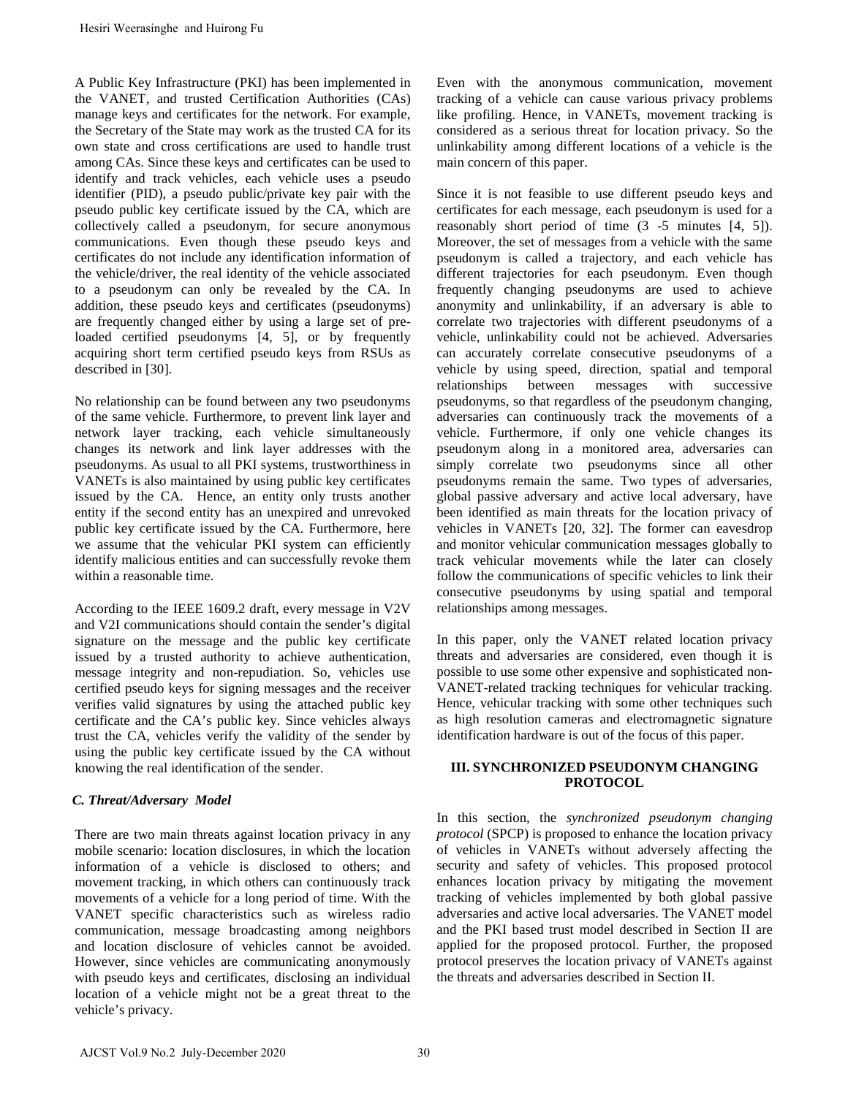A Public Key Infrastructure (PKI) has been implemented in the VANET, and trusted Certification Authorities (CAs) manage keys and certificates for the network. For example, the Secretary of the State may work as the trusted CA for its own state and cross certifications are used to handle trust among CAs. Since these keys and certificates can be used to identify and track vehicles, each vehicle uses a pseudo identifier (PID), a pseudo public/private key pair with the pseudo public key certificate issued by the CA, which are collectively called a pseudonym, for secure anonymous communications. Even though these pseudo keys and certificates do not include any identification information of the vehicle/driver, the real identity of the vehicle associated to a pseudonym can only be revealed by the CA. In addition, these pseudo keys and certificates (pseudonyms) are frequently changed either by using a large set of preloaded certified pseudonyms [4, 5], or by frequently acquiring short term certified pseudo keys from RSUs as described in [30]. Hesiri Weensinghe and Huirong Fu<br>
Public Key Infrastructure (PKI) has been implemented in<br>
Public Key Infrastructure (PKI) has been implemented in<br>
Public Key Infrastructure (PKI) has been implemented in<br>
Public Key Infra

No relationship can be found between any two pseudonyms of the same vehicle. Furthermore, to prevent link layer and network layer tracking, each vehicle simultaneously changes its network and link layer addresses with the pseudonyms. As usual to all PKI systems, trustworthiness in VANETs is also maintained by using public key certificates issued by the CA. Hence, an entity only trusts another entity if the second entity has an unexpired and unrevoked public key certificate issued by the CA. Furthermore, here we assume that the vehicular PKI system can efficiently identify malicious entities and can successfully revoke them within a reasonable time.

According to the IEEE 1609.2 draft, every message in V2V and V2I communications should contain the sender's digital signature on the message and the public key certificate issued by a trusted authority to achieve authentication, message integrity and non-repudiation. So, vehicles use certified pseudo keys for signing messages and the receiver verifies valid signatures by using the attached public key certificate and the CA's public key. Since vehicles always trust the CA, vehicles verify the validity of the sender by using the public key certificate issued by the CA without knowing the real identification of the sender.

# *C. Threat/Adversary Model*

There are two main threats against location privacy in any mobile scenario: location disclosures, in which the location information of a vehicle is disclosed to others; and movement tracking, in which others can continuously track movements of a vehicle for a long period of time. With the VANET specific characteristics such as wireless radio communication, message broadcasting among neighbors and location disclosure of vehicles cannot be avoided. However, since vehicles are communicating anonymously with pseudo keys and certificates, disclosing an individual location of a vehicle might not be a great threat to the vehicle's privacy.

Even with the anonymous communication, movement tracking of a vehicle can cause various privacy problems like profiling. Hence, in VANETs, movement tracking is considered as a serious threat for location privacy. So the unlinkability among different locations of a vehicle is the main concern of this paper.

Since it is not feasible to use different pseudo keys and certificates for each message, each pseudonym is used for a reasonably short period of time (3 -5 minutes [4, 5]). Moreover, the set of messages from a vehicle with the same pseudonym is called a trajectory, and each vehicle has different trajectories for each pseudonym. Even though frequently changing pseudonyms are used to achieve anonymity and unlinkability, if an adversary is able to correlate two trajectories with different pseudonyms of a vehicle, unlinkability could not be achieved. Adversaries can accurately correlate consecutive pseudonyms of a vehicle by using speed, direction, spatial and temporal relationships between messages with successive pseudonyms, so that regardless of the pseudonym changing, adversaries can continuously track the movements of a vehicle. Furthermore, if only one vehicle changes its pseudonym along in a monitored area, adversaries can simply correlate two pseudonyms since all other pseudonyms remain the same. Two types of adversaries, global passive adversary and active local adversary, have been identified as main threats for the location privacy of vehicles in VANETs [20, 32]. The former can eavesdrop and monitor vehicular communication messages globally to track vehicular movements while the later can closely follow the communications of specific vehicles to link their consecutive pseudonyms by using spatial and temporal relationships among messages.

In this paper, only the VANET related location privacy threats and adversaries are considered, even though it is possible to use some other expensive and sophisticated non-VANET-related tracking techniques for vehicular tracking. Hence, vehicular tracking with some other techniques such as high resolution cameras and electromagnetic signature identification hardware is out of the focus of this paper.

# **III. SYNCHRONIZED PSEUDONYM CHANGING PROTOCOL**

In this section, the *synchronized pseudonym changing protocol* (SPCP) is proposed to enhance the location privacy of vehicles in VANETs without adversely affecting the security and safety of vehicles. This proposed protocol enhances location privacy by mitigating the movement tracking of vehicles implemented by both global passive adversaries and active local adversaries. The VANET model and the PKI based trust model described in Section II are applied for the proposed protocol. Further, the proposed protocol preserves the location privacy of VANETs against the threats and adversaries described in Section II.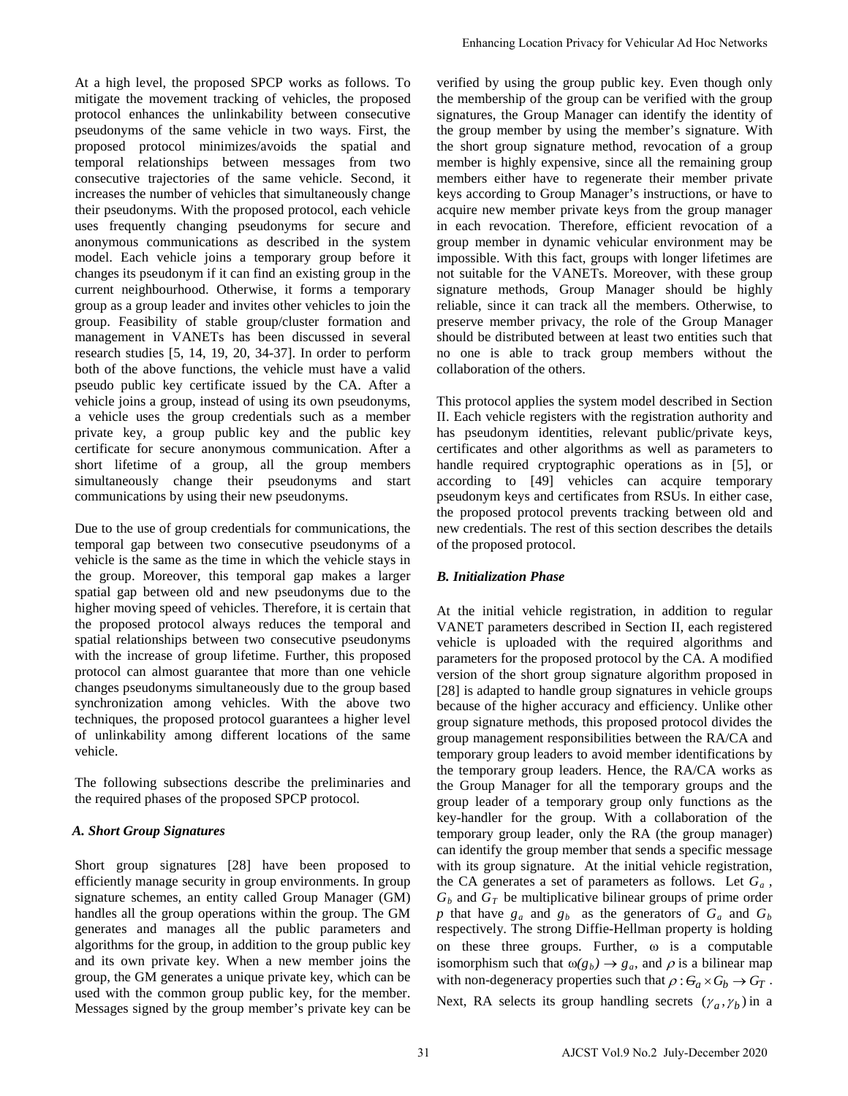At a high level, the proposed SPCP works as follows. To mitigate the movement tracking of vehicles, the proposed protocol enhances the unlinkability between consecutive pseudonyms of the same vehicle in two ways. First, the proposed protocol minimizes/avoids the spatial and temporal relationships between messages from two consecutive trajectories of the same vehicle. Second, it increases the number of vehicles that simultaneously change their pseudonyms. With the proposed protocol, each vehicle uses frequently changing pseudonyms for secure and anonymous communications as described in the system model. Each vehicle joins a temporary group before it changes its pseudonym if it can find an existing group in the current neighbourhood. Otherwise, it forms a temporary group as a group leader and invites other vehicles to join the group. Feasibility of stable group/cluster formation and management in VANETs has been discussed in several research studies [5, 14, 19, 20, 34-37]. In order to perform both of the above functions, the vehicle must have a valid pseudo public key certificate issued by the CA. After a vehicle joins a group, instead of using its own pseudonyms, a vehicle uses the group credentials such as a member private key, a group public key and the public key certificate for secure anonymous communication. After a short lifetime of a group, all the group members simultaneously change their pseudonyms and start communications by using their new pseudonyms.

Due to the use of group credentials for communications, the temporal gap between two consecutive pseudonyms of a vehicle is the same as the time in which the vehicle stays in the group. Moreover, this temporal gap makes a larger spatial gap between old and new pseudonyms due to the higher moving speed of vehicles. Therefore, it is certain that the proposed protocol always reduces the temporal and spatial relationships between two consecutive pseudonyms with the increase of group lifetime. Further, this proposed protocol can almost guarantee that more than one vehicle changes pseudonyms simultaneously due to the group based synchronization among vehicles. With the above two techniques, the proposed protocol guarantees a higher level of unlinkability among different locations of the same vehicle.

The following subsections describe the preliminaries and the required phases of the proposed SPCP protocol*.* 

# *A. Short Group Signatures*

Short group signatures [28] have been proposed to efficiently manage security in group environments. In group signature schemes, an entity called Group Manager (GM) handles all the group operations within the group. The GM generates and manages all the public parameters and algorithms for the group, in addition to the group public key and its own private key. When a new member joins the group, the GM generates a unique private key, which can be used with the common group public key, for the member. Messages signed by the group member's private key can be verified by using the group public key. Even though only the membership of the group can be verified with the group signatures, the Group Manager can identify the identity of the group member by using the member's signature. With the short group signature method, revocation of a group member is highly expensive, since all the remaining group members either have to regenerate their member private keys according to Group Manager's instructions, or have to acquire new member private keys from the group manager in each revocation. Therefore, efficient revocation of a group member in dynamic vehicular environment may be impossible. With this fact, groups with longer lifetimes are not suitable for the VANETs. Moreover, with these group signature methods, Group Manager should be highly reliable, since it can track all the members. Otherwise, to preserve member privacy, the role of the Group Manager should be distributed between at least two entities such that no one is able to track group members without the collaboration of the others.

This protocol applies the system model described in Section II. Each vehicle registers with the registration authority and has pseudonym identities, relevant public/private keys, certificates and other algorithms as well as parameters to handle required cryptographic operations as in [5], or according to [49] vehicles can acquire temporary pseudonym keys and certificates from RSUs. In either case, the proposed protocol prevents tracking between old and new credentials. The rest of this section describes the details of the proposed protocol.

# *B. Initialization Phase*

At the initial vehicle registration, in addition to regular VANET parameters described in Section II, each registered vehicle is uploaded with the required algorithms and parameters for the proposed protocol by the CA. A modified version of the short group signature algorithm proposed in [28] is adapted to handle group signatures in vehicle groups because of the higher accuracy and efficiency. Unlike other group signature methods, this proposed protocol divides the group management responsibilities between the RA/CA and temporary group leaders to avoid member identifications by the temporary group leaders. Hence, the RA/CA works as the Group Manager for all the temporary groups and the group leader of a temporary group only functions as the key-handler for the group. With a collaboration of the temporary group leader, only the RA (the group manager) can identify the group member that sends a specific message with its group signature. At the initial vehicle registration, the CA generates a set of parameters as follows. Let *Ga ,*   $G_b$  and  $G_T$  be multiplicative bilinear groups of prime order *p* that have  $g_a$  and  $g_b$  as the generators of  $G_a$  and  $G_b$ respectively. The strong Diffie-Hellman property is holding on these three groups. Further,  $\omega$  is a computable isomorphism such that  $\omega(g_b) \rightarrow g_a$ , and  $\rho$  is a bilinear map with non-degeneracy properties such that  $\rho : G_a \times G_b \to G_T$ . Next, RA selects its group handling secrets  $(\gamma_a, \gamma_b)$  in a Enhancing Location Privacy for Vehicular Ad Hoc Networks<br>
weithed by using the group public key. Even though oully continue with<br>
the member sheef of the group can be verified with the group<br>
strength oully-the internal i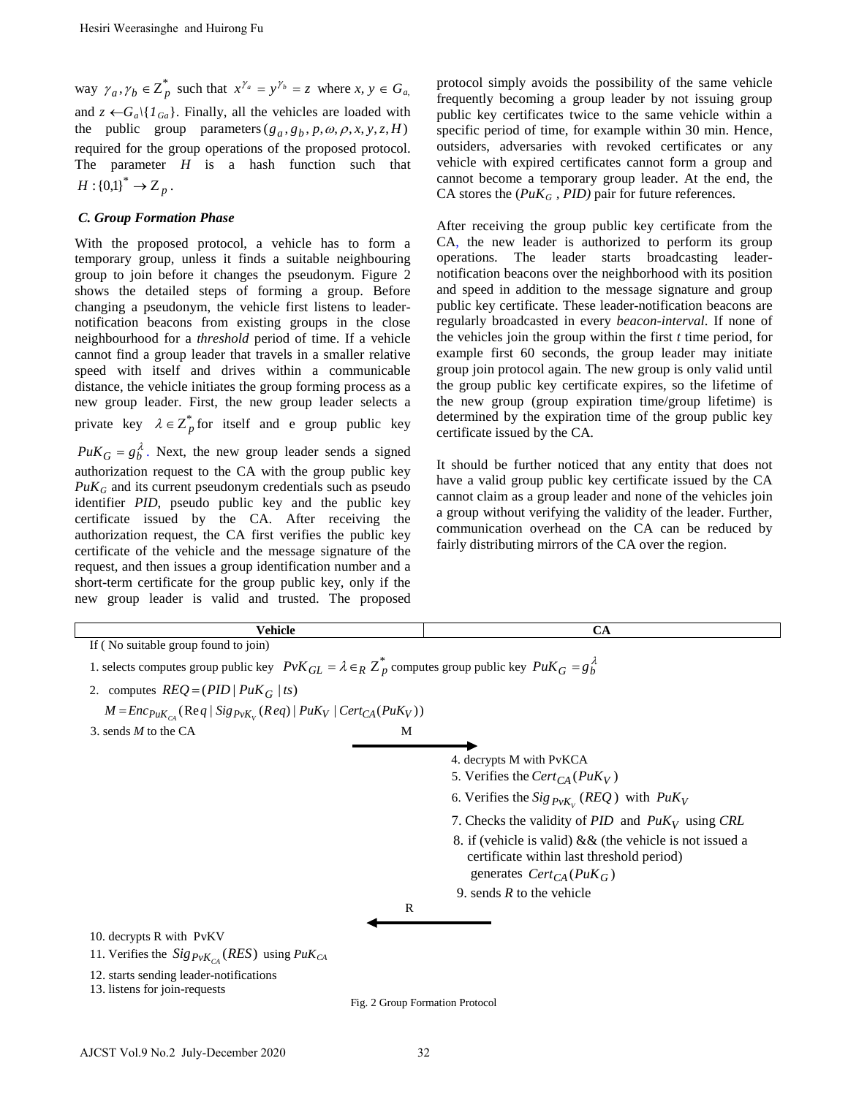### *C. Group Formation Phase*

| Hesiri Weerasinghe and Huirong Fu                                                                                                                                                                                                                                                                                                                                                                                                                                                                                                                                                                                                                                                                                                                       |                                 |                                                                                                                                                                                                                                                                                                                                                                                                                                                                                                                                                                                                                                                                                                                                                                                                                                                                          |
|---------------------------------------------------------------------------------------------------------------------------------------------------------------------------------------------------------------------------------------------------------------------------------------------------------------------------------------------------------------------------------------------------------------------------------------------------------------------------------------------------------------------------------------------------------------------------------------------------------------------------------------------------------------------------------------------------------------------------------------------------------|---------------------------------|--------------------------------------------------------------------------------------------------------------------------------------------------------------------------------------------------------------------------------------------------------------------------------------------------------------------------------------------------------------------------------------------------------------------------------------------------------------------------------------------------------------------------------------------------------------------------------------------------------------------------------------------------------------------------------------------------------------------------------------------------------------------------------------------------------------------------------------------------------------------------|
| way $\gamma_a, \gamma_b \in \overline{Z}_p^*$ such that $x^{\gamma_a} = y^{\gamma_b} = z$ where $x, y \in G_a$ ,<br>and $z \leftarrow G_a \setminus \{I_{Ga}\}\$ . Finally, all the vehicles are loaded with<br>the public group parameters $(g_a, g_b, p, \omega, \rho, x, y, z, H)$<br>required for the group operations of the proposed protocol.<br>The parameter $H$ is a hash function such that<br>$H:{0,1}^* \to Z_p$ .                                                                                                                                                                                                                                                                                                                         |                                 | protocol simply avoids the possibility of the same vehicle<br>frequently becoming a group leader by not issuing group<br>public key certificates twice to the same vehicle within a<br>specific period of time, for example within 30 min. Hence,<br>outsiders, adversaries with revoked certificates or any<br>vehicle with expired certificates cannot form a group and<br>cannot become a temporary group leader. At the end, the<br>CA stores the $(PuK_G, PID)$ pair for future references.                                                                                                                                                                                                                                                                                                                                                                         |
| <b>C. Group Formation Phase</b>                                                                                                                                                                                                                                                                                                                                                                                                                                                                                                                                                                                                                                                                                                                         |                                 |                                                                                                                                                                                                                                                                                                                                                                                                                                                                                                                                                                                                                                                                                                                                                                                                                                                                          |
| With the proposed protocol, a vehicle has to form a<br>temporary group, unless it finds a suitable neighbouring<br>group to join before it changes the pseudonym. Figure 2<br>shows the detailed steps of forming a group. Before<br>changing a pseudonym, the vehicle first listens to leader-<br>notification beacons from existing groups in the close<br>neighbourhood for a <i>threshold</i> period of time. If a vehicle<br>cannot find a group leader that travels in a smaller relative<br>speed with itself and drives within a communicable<br>distance, the vehicle initiates the group forming process as a<br>new group leader. First, the new group leader selects a<br>private key $\lambda \in Z_p^*$ for itself and e group public key |                                 | After receiving the group public key certificate from the<br>CA, the new leader is authorized to perform its group<br>broadcasting<br>The leader<br>starts<br>leader-<br>operations.<br>notification beacons over the neighborhood with its position<br>and speed in addition to the message signature and group<br>public key certificate. These leader-notification beacons are<br>regularly broadcasted in every beacon-interval. If none of<br>the vehicles join the group within the first $t$ time period, for<br>example first 60 seconds, the group leader may initiate<br>group join protocol again. The new group is only valid until<br>the group public key certificate expires, so the lifetime of<br>the new group (group expiration time/group lifetime) is<br>determined by the expiration time of the group public key<br>certificate issued by the CA. |
| $P u K_G = g_b^{\lambda}$ . Next, the new group leader sends a signed<br>authorization request to the CA with the group public key<br>$P u K_G$ and its current pseudonym credentials such as pseudo<br>identifier PID, pseudo public key and the public key<br>certificate issued by the CA. After receiving the<br>authorization request, the CA first verifies the public key<br>certificate of the vehicle and the message signature of the<br>request, and then issues a group identification number and a<br>short-term certificate for the group public key, only if the<br>new group leader is valid and trusted. The proposed                                                                                                                  |                                 | It should be further noticed that any entity that does not<br>have a valid group public key certificate issued by the CA<br>cannot claim as a group leader and none of the vehicles join<br>a group without verifying the validity of the leader. Further,<br>communication overhead on the CA can be reduced by<br>fairly distributing mirrors of the CA over the region.                                                                                                                                                                                                                                                                                                                                                                                                                                                                                               |
| <b>Vehicle</b>                                                                                                                                                                                                                                                                                                                                                                                                                                                                                                                                                                                                                                                                                                                                          |                                 | CA                                                                                                                                                                                                                                                                                                                                                                                                                                                                                                                                                                                                                                                                                                                                                                                                                                                                       |
| If (No suitable group found to join)<br>1. selects computes group public key $PvK_{GL} = \lambda \in_R Z_p^*$ computes group public key $PuK_G = g_b^{\lambda}$<br>2. computes $REQ = (PID   P u K_G   ts)$<br>$M = Enc_{PuK_{C\{A}}}$ (Req   Sig <sub>PvK<sub>v</sub></sub> (Req)   PuK <sub>V</sub>   Cert <sub>CA</sub> (PuK <sub>V</sub> ))<br>3. sends $M$ to the CA                                                                                                                                                                                                                                                                                                                                                                               | M                               |                                                                                                                                                                                                                                                                                                                                                                                                                                                                                                                                                                                                                                                                                                                                                                                                                                                                          |
|                                                                                                                                                                                                                                                                                                                                                                                                                                                                                                                                                                                                                                                                                                                                                         |                                 | 4. decrypts M with PvKCA                                                                                                                                                                                                                                                                                                                                                                                                                                                                                                                                                                                                                                                                                                                                                                                                                                                 |
|                                                                                                                                                                                                                                                                                                                                                                                                                                                                                                                                                                                                                                                                                                                                                         |                                 | 5. Verifies the Cert <sub>CA</sub> ( $PuK_V$ )                                                                                                                                                                                                                                                                                                                                                                                                                                                                                                                                                                                                                                                                                                                                                                                                                           |
|                                                                                                                                                                                                                                                                                                                                                                                                                                                                                                                                                                                                                                                                                                                                                         |                                 | 6. Verifies the Sig $P_{V}K_v$ (REQ) with $P u K_V$<br>7. Checks the validity of PID and $PuK_V$ using CRL<br>8. if (vehicle is valid) $&$ (the vehicle is not issued a<br>certificate within last threshold period)<br>generates $Cert_{CA}(PuK_G)$<br>9. sends $R$ to the vehicle                                                                                                                                                                                                                                                                                                                                                                                                                                                                                                                                                                                      |
|                                                                                                                                                                                                                                                                                                                                                                                                                                                                                                                                                                                                                                                                                                                                                         | R                               |                                                                                                                                                                                                                                                                                                                                                                                                                                                                                                                                                                                                                                                                                                                                                                                                                                                                          |
| 10. decrypts R with PvKV<br>11. Verifies the $Sig_{PvK_{CA}}(RES)$ using $PuK_{CA}$                                                                                                                                                                                                                                                                                                                                                                                                                                                                                                                                                                                                                                                                     |                                 |                                                                                                                                                                                                                                                                                                                                                                                                                                                                                                                                                                                                                                                                                                                                                                                                                                                                          |
| 12. starts sending leader-notifications<br>13. listens for join-requests                                                                                                                                                                                                                                                                                                                                                                                                                                                                                                                                                                                                                                                                                | Fig. 2 Group Formation Protocol |                                                                                                                                                                                                                                                                                                                                                                                                                                                                                                                                                                                                                                                                                                                                                                                                                                                                          |
|                                                                                                                                                                                                                                                                                                                                                                                                                                                                                                                                                                                                                                                                                                                                                         |                                 |                                                                                                                                                                                                                                                                                                                                                                                                                                                                                                                                                                                                                                                                                                                                                                                                                                                                          |
| AJCST Vol.9 No.2 July-December 2020                                                                                                                                                                                                                                                                                                                                                                                                                                                                                                                                                                                                                                                                                                                     |                                 | 32                                                                                                                                                                                                                                                                                                                                                                                                                                                                                                                                                                                                                                                                                                                                                                                                                                                                       |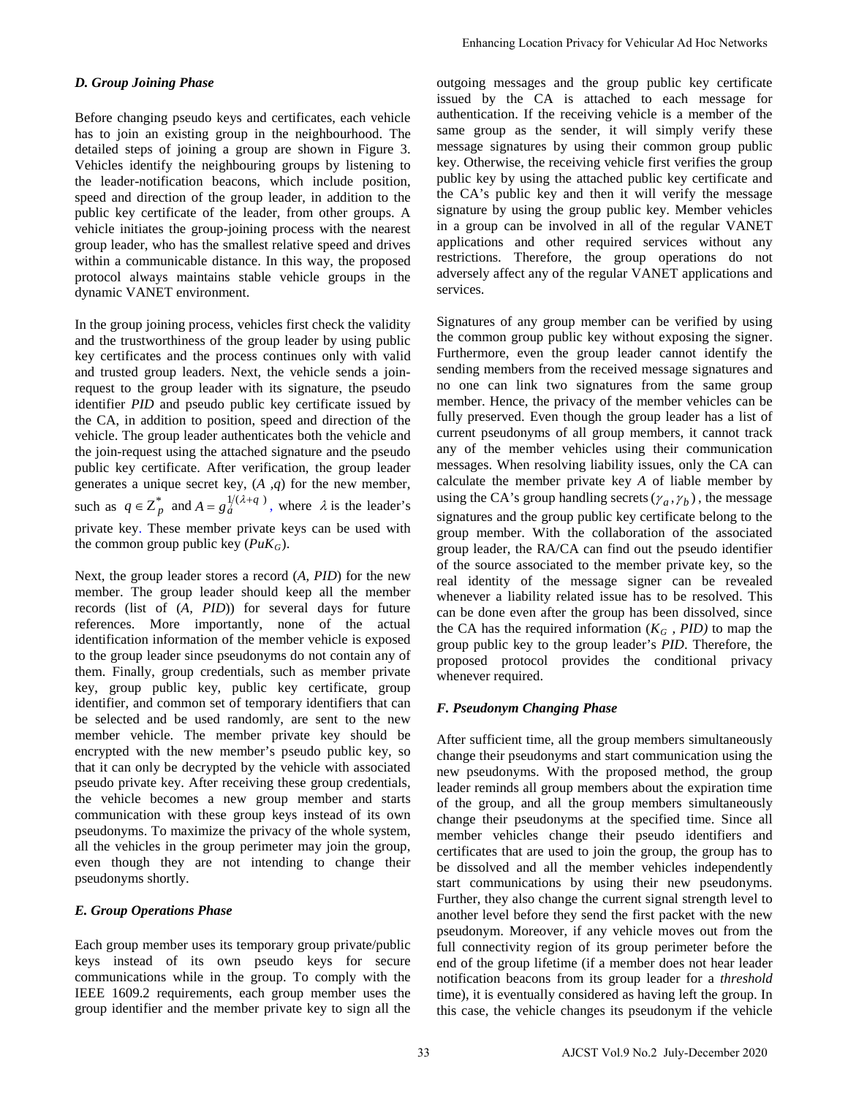# *D. Group Joining Phase*

Before changing pseudo keys and certificates, each vehicle has to join an existing group in the neighbourhood. The detailed steps of joining a group are shown in Figure 3. Vehicles identify the neighbouring groups by listening to the leader-notification beacons, which include position, speed and direction of the group leader, in addition to the public key certificate of the leader, from other groups. A vehicle initiates the group-joining process with the nearest group leader, who has the smallest relative speed and drives within a communicable distance. In this way, the proposed protocol always maintains stable vehicle groups in the dynamic VANET environment.

In the group joining process, vehicles first check the validity and the trustworthiness of the group leader by using public key certificates and the process continues only with valid and trusted group leaders. Next, the vehicle sends a joinrequest to the group leader with its signature, the pseudo identifier *PID* and pseudo public key certificate issued by the CA, in addition to position, speed and direction of the vehicle. The group leader authenticates both the vehicle and the join-request using the attached signature and the pseudo public key certificate. After verification, the group leader generates a unique secret key, (*A ,q*) for the new member, such as  $q \in \mathbb{Z}_p^*$  and  $A = g_a^{1/(2+q)}$ , where  $\lambda$  is the leader's private key. These member private keys can be used with the common group public key  $(PuK_G)$ .

Next, the group leader stores a record (*A, PID*) for the new member. The group leader should keep all the member records (list of (*A, PID*)) for several days for future references. More importantly, none of the actual identification information of the member vehicle is exposed to the group leader since pseudonyms do not contain any of them. Finally, group credentials, such as member private key, group public key, public key certificate, group identifier, and common set of temporary identifiers that can be selected and be used randomly, are sent to the new member vehicle. The member private key should be encrypted with the new member's pseudo public key, so that it can only be decrypted by the vehicle with associated pseudo private key. After receiving these group credentials, the vehicle becomes a new group member and starts communication with these group keys instead of its own pseudonyms. To maximize the privacy of the whole system, all the vehicles in the group perimeter may join the group, even though they are not intending to change their pseudonyms shortly.

# *E. Group Operations Phase*

Each group member uses its temporary group private/public keys instead of its own pseudo keys for secure communications while in the group. To comply with the IEEE 1609.2 requirements, each group member uses the group identifier and the member private key to sign all the outgoing messages and the group public key certificate issued by the CA is attached to each message for authentication. If the receiving vehicle is a member of the same group as the sender, it will simply verify these message signatures by using their common group public key. Otherwise, the receiving vehicle first verifies the group public key by using the attached public key certificate and the CA's public key and then it will verify the message signature by using the group public key. Member vehicles in a group can be involved in all of the regular VANET applications and other required services without any restrictions. Therefore, the group operations do not adversely affect any of the regular VANET applications and services.

Signatures of any group member can be verified by using the common group public key without exposing the signer. Furthermore, even the group leader cannot identify the sending members from the received message signatures and no one can link two signatures from the same group member. Hence, the privacy of the member vehicles can be fully preserved. Even though the group leader has a list of current pseudonyms of all group members, it cannot track any of the member vehicles using their communication messages. When resolving liability issues, only the CA can calculate the member private key *A* of liable member by using the CA's group handling secrets  $(\gamma_a, \gamma_b)$ , the message signatures and the group public key certificate belong to the group member. With the collaboration of the associated group leader, the RA/CA can find out the pseudo identifier of the source associated to the member private key, so the real identity of the message signer can be revealed whenever a liability related issue has to be resolved. This can be done even after the group has been dissolved, since the CA has the required information  $(K_G, PID)$  to map the group public key to the group leader's *PID*. Therefore, the proposed protocol provides the conditional privacy whenever required. Fahaming Location Privacy for Vehicular Ad Hoc Networks<br>
outgoing messages and the group public leve certification<br>
is itsued. by the CA is attached to cash message for<br>
antification If the needvice who is a straight to c

### *F. Pseudonym Changing Phase*

After sufficient time, all the group members simultaneously change their pseudonyms and start communication using the new pseudonyms. With the proposed method, the group leader reminds all group members about the expiration time of the group, and all the group members simultaneously change their pseudonyms at the specified time. Since all member vehicles change their pseudo identifiers and certificates that are used to join the group, the group has to be dissolved and all the member vehicles independently start communications by using their new pseudonyms. Further, they also change the current signal strength level to another level before they send the first packet with the new pseudonym. Moreover, if any vehicle moves out from the full connectivity region of its group perimeter before the end of the group lifetime (if a member does not hear leader notification beacons from its group leader for a *threshold* time), it is eventually considered as having left the group. In this case, the vehicle changes its pseudonym if the vehicle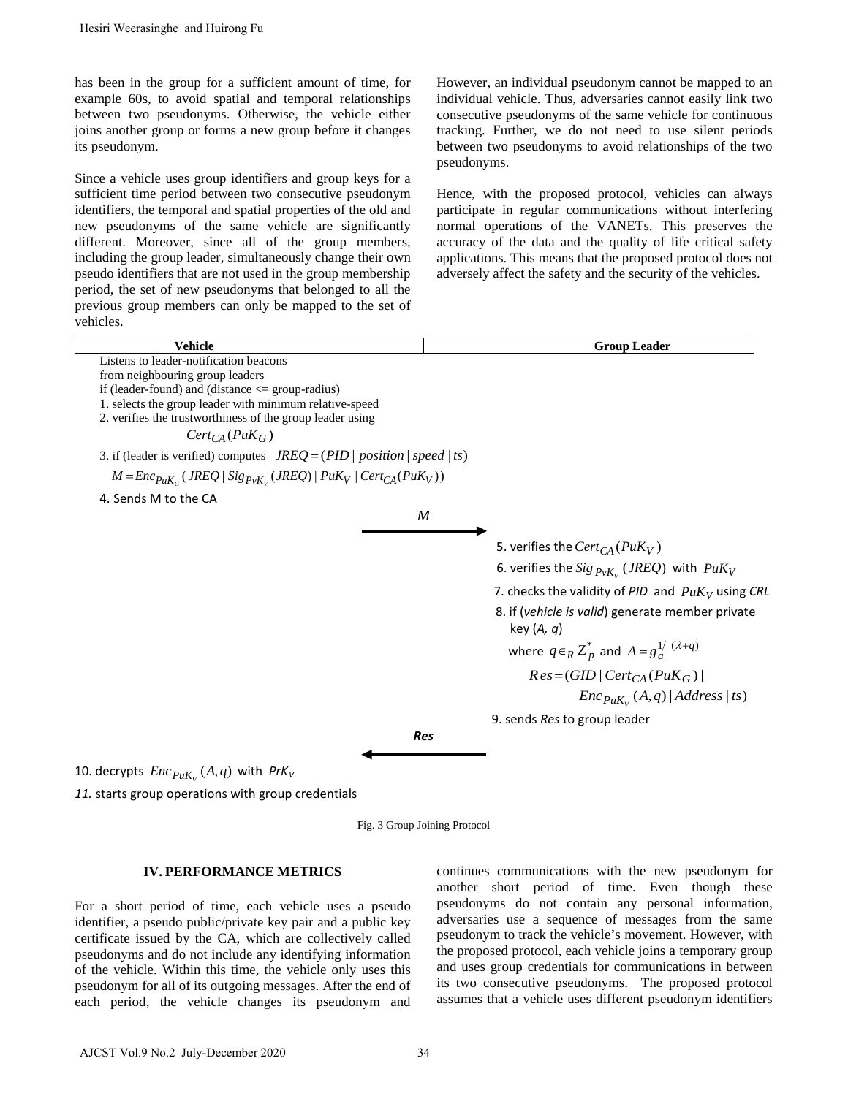| Hesiri Weerasinghe and Huirong Fu                                                                                                                                                                                                                                                                                                                                                                                                                                                                                                                                                                                                                                                                                                                                                                                                                  |                                                                                                                                                                                                                                                                                                                                                                                                                                                                                                                                                                                                                                                                                                          |
|----------------------------------------------------------------------------------------------------------------------------------------------------------------------------------------------------------------------------------------------------------------------------------------------------------------------------------------------------------------------------------------------------------------------------------------------------------------------------------------------------------------------------------------------------------------------------------------------------------------------------------------------------------------------------------------------------------------------------------------------------------------------------------------------------------------------------------------------------|----------------------------------------------------------------------------------------------------------------------------------------------------------------------------------------------------------------------------------------------------------------------------------------------------------------------------------------------------------------------------------------------------------------------------------------------------------------------------------------------------------------------------------------------------------------------------------------------------------------------------------------------------------------------------------------------------------|
| has been in the group for a sufficient amount of time, for<br>example 60s, to avoid spatial and temporal relationships<br>between two pseudonyms. Otherwise, the vehicle either<br>joins another group or forms a new group before it changes<br>its pseudonym.<br>Since a vehicle uses group identifiers and group keys for a<br>sufficient time period between two consecutive pseudonym<br>identifiers, the temporal and spatial properties of the old and<br>new pseudonyms of the same vehicle are significantly<br>different. Moreover, since all of the group members,<br>including the group leader, simultaneously change their own<br>pseudo identifiers that are not used in the group membership<br>period, the set of new pseudonyms that belonged to all the<br>previous group members can only be mapped to the set of<br>vehicles. | However, an individual pseudonym cannot be mapped to an<br>individual vehicle. Thus, adversaries cannot easily link two<br>consecutive pseudonyms of the same vehicle for continuous<br>tracking. Further, we do not need to use silent periods<br>between two pseudonyms to avoid relationships of the two<br>pseudonyms.<br>Hence, with the proposed protocol, vehicles can always<br>participate in regular communications without interfering<br>normal operations of the VANETs. This preserves the<br>accuracy of the data and the quality of life critical safety<br>applications. This means that the proposed protocol does no<br>adversely affect the safety and the security of the vehicles. |
| <b>Vehicle</b>                                                                                                                                                                                                                                                                                                                                                                                                                                                                                                                                                                                                                                                                                                                                                                                                                                     | <b>Group Leader</b>                                                                                                                                                                                                                                                                                                                                                                                                                                                                                                                                                                                                                                                                                      |
| from neighbouring group leaders<br>if (leader-found) and (distance $\leq$ group-radius)<br>1. selects the group leader with minimum relative-speed<br>2. verifies the trustworthiness of the group leader using<br>$Cert_{CA}(PuK_G)$<br>3. if (leader is verified) computes $JREQ = (PID \mid position \mid speed \mid ts)$<br>$M = Enc_{PuK_G} (JREQ   Sig_{PvK_V} (JREQ)   PuK_V   Cert_{CA}(PuK_V))$<br>4. Sends M to the CA<br>M<br>Res                                                                                                                                                                                                                                                                                                                                                                                                       | 5. verifies the $Cert_{CA}(PuK_V)$<br>6. verifies the $Sig_{PvK_v}$ ( <i>JREQ</i> ) with $PuK_V$<br>7. checks the validity of PID and $PuK_V$ using CRL<br>8. if (vehicle is valid) generate member private<br>key $(A, q)$<br>where $q \in_R Z_p^*$ and $A = g_d^{1/} (\lambda + q)$<br>$Res = (GID   Cert_{CA}(P u K_G))$<br>$Enc_{PuK_v}(A,q)   Address ts)$<br>9. sends Res to group leader                                                                                                                                                                                                                                                                                                          |
|                                                                                                                                                                                                                                                                                                                                                                                                                                                                                                                                                                                                                                                                                                                                                                                                                                                    |                                                                                                                                                                                                                                                                                                                                                                                                                                                                                                                                                                                                                                                                                                          |
| 10. decrypts $\mathit{Enc}_{\mathit{PuK}_{v}}(A,q)$ with $\mathit{PrK}_{V}$<br>11. starts group operations with group credentials                                                                                                                                                                                                                                                                                                                                                                                                                                                                                                                                                                                                                                                                                                                  |                                                                                                                                                                                                                                                                                                                                                                                                                                                                                                                                                                                                                                                                                                          |
| Fig. 3 Group Joining Protocol                                                                                                                                                                                                                                                                                                                                                                                                                                                                                                                                                                                                                                                                                                                                                                                                                      |                                                                                                                                                                                                                                                                                                                                                                                                                                                                                                                                                                                                                                                                                                          |
| <b>IV. PERFORMANCE METRICS</b><br>For a short period of time, each vehicle uses a pseudo<br>identifier, a pseudo public/private key pair and a public key<br>certificate issued by the CA, which are collectively called<br>pseudonyms and do not include any identifying information<br>of the vehicle. Within this time, the vehicle only uses this<br>pseudonym for all of its outgoing messages. After the end of<br>each period, the vehicle changes its pseudonym and                                                                                                                                                                                                                                                                                                                                                                        | continues communications with the new pseudonym for<br>another short period of time. Even though these<br>pseudonyms do not contain any personal information<br>adversaries use a sequence of messages from the same<br>pseudonym to track the vehicle's movement. However, with<br>the proposed protocol, each vehicle joins a temporary group<br>and uses group credentials for communications in between<br>its two consecutive pseudonyms. The proposed protoco<br>assumes that a vehicle uses different pseudonym identifiers                                                                                                                                                                       |
| AJCST Vol.9 No.2 July-December 2020<br>34                                                                                                                                                                                                                                                                                                                                                                                                                                                                                                                                                                                                                                                                                                                                                                                                          |                                                                                                                                                                                                                                                                                                                                                                                                                                                                                                                                                                                                                                                                                                          |

Fig. 3 Group Joining Protocol

### **IV. PERFORMANCE METRICS**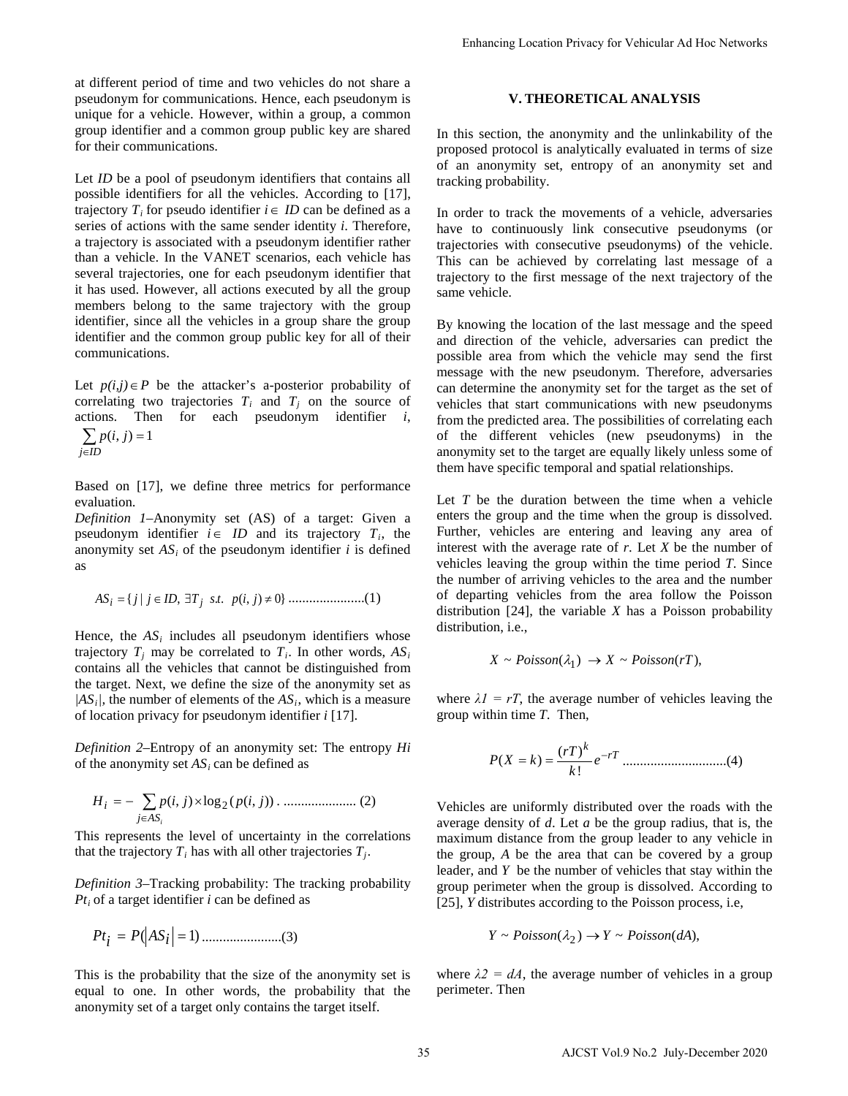at different period of time and two vehicles do not share a pseudonym for communications. Hence, each pseudonym is unique for a vehicle. However, within a group, a common group identifier and a common group public key are shared for their communications.

Let *ID* be a pool of pseudonym identifiers that contains all possible identifiers for all the vehicles. According to [17], trajectory  $T_i$  for pseudo identifier  $i \in ID$  can be defined as a series of actions with the same sender identity *i*. Therefore, a trajectory is associated with a pseudonym identifier rather than a vehicle. In the VANET scenarios, each vehicle has several trajectories, one for each pseudonym identifier that it has used. However, all actions executed by all the group members belong to the same trajectory with the group identifier, since all the vehicles in a group share the group identifier and the common group public key for all of their communications.

Let  $p(i,j) \in P$  be the attacker's a-posterior probability of correlating two trajectories  $T_i$  and  $T_j$  on the source of actions. Then for each pseudonym identifier *i*,

$$
\sum_{j \in ID} p(i, j) = 1
$$

Based on [17], we define three metrics for performance evaluation.

*Definition 1*–Anonymity set (AS) of a target: Given a pseudonym identifier  $i \in ID$  and its trajectory  $T_i$ , the anonymity set  $AS_i$  of the pseudonym identifier *i* is defined as

*AS jj ID* ∃∈= *jiptsT* ≠ }0),(..,|{ *<sup>i</sup> <sup>j</sup>* ......................(1)

Hence, the  $AS_i$  includes all pseudonym identifiers whose trajectory  $T_i$  may be correlated to  $T_i$ . In other words,  $AS_i$ contains all the vehicles that cannot be distinguished from the target. Next, we define the size of the anonymity set as  $|AS_i|$ , the number of elements of the  $AS_i$ , which is a measure of location privacy for pseudonym identifier *i* [17].

*Definition 2*–Entropy of an anonymity set: The entropy *Hi* of the anonymity set *ASi* can be defined as

,((log),( )) <sup>2</sup> *H jipjip ASi j <sup>i</sup>* −= ∑ × ∈ . ..................... (2)

This represents the level of uncertainty in the correlations that the trajectory  $T_i$  has with all other trajectories  $T_j$ .

*Definition 3*–Tracking probability: The tracking probability  $Pt<sub>i</sub>$  of a target identifier *i* can be defined as

$$
Pt_i = P(|AS_i| = 1) \dots (3)
$$

This is the probability that the size of the anonymity set is equal to one. In other words, the probability that the anonymity set of a target only contains the target itself.

# **V. THEORETICAL ANALYSIS**

In this section, the anonymity and the unlinkability of the proposed protocol is analytically evaluated in terms of size of an anonymity set, entropy of an anonymity set and tracking probability.

In order to track the movements of a vehicle, adversaries have to continuously link consecutive pseudonyms (or trajectories with consecutive pseudonyms) of the vehicle. This can be achieved by correlating last message of a trajectory to the first message of the next trajectory of the same vehicle.

By knowing the location of the last message and the speed and direction of the vehicle, adversaries can predict the possible area from which the vehicle may send the first message with the new pseudonym. Therefore, adversaries can determine the anonymity set for the target as the set of vehicles that start communications with new pseudonyms from the predicted area. The possibilities of correlating each of the different vehicles (new pseudonyms) in the anonymity set to the target are equally likely unless some of them have specific temporal and spatial relationships. Fahancing Location Privacy for Vehicular Ad Hoc Networks<br>
V. **THEORETICAL ANALYSIS**<br>
In this section, the anonymity and the unlinkability of the<br>proposed protocol is analytically evaluated in terms of size<br>
or an anonymit

Let *T* be the duration between the time when a vehicle enters the group and the time when the group is dissolved. Further, vehicles are entering and leaving any area of interest with the average rate of *r*. Let *X* be the number of vehicles leaving the group within the time period *T*. Since the number of arriving vehicles to the area and the number of departing vehicles from the area follow the Poisson distribution [24], the variable *X* has a Poisson probability distribution, *i.e.*,

$$
X \sim Poisson(\lambda_1) \rightarrow X \sim Poisson(rT),
$$

where  $\lambda I = rT$ , the average number of vehicles leaving the group within time *T*. Then,

*rT k e k rT kXP* <sup>−</sup> == ! )( )( ..............................(4)

Vehicles are uniformly distributed over the roads with the average density of *d*. Let *a* be the group radius, that is, the maximum distance from the group leader to any vehicle in the group, *A* be the area that can be covered by a group leader, and *Y* be the number of vehicles that stay within the group perimeter when the group is dissolved. According to [25], *Y* distributes according to the Poisson process, i.e,

$$
Y \sim Poisson(\lambda_2) \to Y \sim Poisson(dA),
$$

where  $\lambda$ 2 = dA, the average number of vehicles in a group perimeter. Then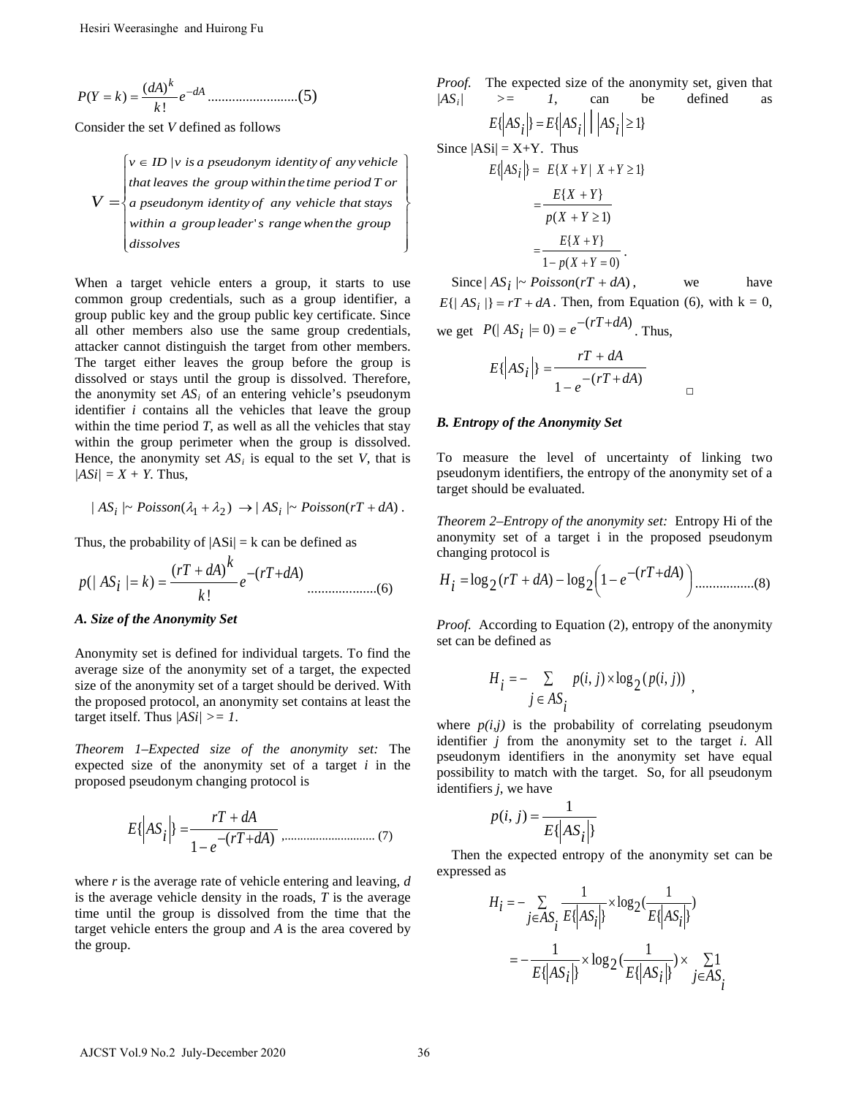*dA k e k dA kYP* <sup>−</sup> == ! )( )( ..........................(5)

Consider the set *V* defined as follows

$$
V = \begin{cases} v \in ID \mid v \text{ is a pseudonym identity of any vehicle} \\ that leaves the group within the time period T or \\ a pseudonym identity of any vehicle that stays within a group leader's range when the groupdiscolves \end{cases}
$$

When a target vehicle enters a group, it starts to use common group credentials, such as a group identifier, a group public key and the group public key certificate. Since all other members also use the same group credentials, attacker cannot distinguish the target from other members. The target either leaves the group before the group is dissolved or stays until the group is dissolved. Therefore, the anonymity set  $AS_i$  of an entering vehicle's pseudonym identifier *i* contains all the vehicles that leave the group within the time period  $T$ , as well as all the vehicles that stay within the group perimeter when the group is dissolved. Hence, the anonymity set  $AS_i$  is equal to the set *V*, that is  $|ASi| = X + Y$ . Thus, AJCST Vol.9 No.2 July-December 2020 36 Hesiri Weerasinghe and Huirong Fu

$$
|AS_i| \sim Poisson(\lambda_1 + \lambda_2) \rightarrow |AS_i| \sim Poisson(rT + dA).
$$

Thus, the probability of  $|AS_i| = k$  can be defined as

$$
p(|AS_i| = k) = \frac{(rT + dA)^k}{k!} e^{-(rT + dA)}
$$
............(6)

#### *A. Size of the Anonymity Set*

Anonymity set is defined for individual targets. To find the average size of the anonymity set of a target, the expected size of the anonymity set of a target should be derived. With the proposed protocol, an anonymity set contains at least the target itself. Thus  $|ASi| \geq 1$ .

*Theorem 1–Expected size of the anonymity set:* The expected size of the anonymity set of a target *i* in the proposed pseudonym changing protocol is

$$
E\{AS_i\} = \frac{rT + dA}{1 - e^{-(rT + dA)} \, \, \dots \, \, \dots \, \, \dots \, \, \dots \, \, \dots \, \, \dots \, \, \dots \, \, \dots \, \, \dots \, \, \dots \, \, \dots \, \, \dots \, \, \dots \, \, \dots \, \, \dots \, \, \dots \, \, \dots \, \, \dots \, \, \dots \, \, \dots \, \, \dots \, \, \dots \, \, \dots \, \, \dots \, \, \dots \, \, \dots \, \, \dots \, \, \dots \, \, \dots \, \, \dots \, \, \dots \, \, \dots \, \, \dots \, \, \dots \, \, \dots \, \, \dots \, \dots \, \dots \, \dots \, \dots \, \dots \, \dots \, \dots \, \dots \, \dots \, \dots \, \dots \, \dots \, \dots \, \dots \, \dots \, \dots \, \dots \, \dots \, \dots \, \dots \, \dots \, \dots \, \dots \, \dots \, \dots \, \dots \, \dots \, \dots \, \dots \, \dots \, \dots \, \dots \, \dots \, \dots \, \dots \, \dots \, \dots \, \dots \, \dots \, \dots \, \dots \, \dots \, \dots \, \dots \, \dots \, \dots \, \dots \, \dots \, \dots \, \dots \, \dots \, \dots \, \dots \, \dots \, \dots \, \dots \, \dots \, \dots \, \dots \, \dots \, \dots \, \dots \, \dots \, \dots \, \dots \, \dots \, \dots \, \dots \, \dots \, \dots \, \dots \, \dots \, \dots \, \dots \, \dots \, \dots \, \dots \, \dots \, \dots \, \dots \, \dots \, \dots \, \dots \, \dots \, \dots \, \dots \, \dots \, \dots \, \dots \, \dots \, \dots \, \dots \, \dots \, \dots \, \dots \, \dots \, \dots \, \dots \, \dots \, \dots \, \dots \, \dots \, \dots \, \dots \, \dots \, \dots \, \dots \, \dots \, \dots \, \dots \, \dots \, \dots \, \dots \, \dots \, \dots \, \dots \, \dots \, \dots \, \dots \, \dots \, \dots \, \dots \, \dots \, \dots \, \dots \, \dots \, \dots \, \dots \, \
$$

where *r* is the average rate of vehicle entering and leaving, *d* is the average vehicle density in the roads, *T* is the average time until the group is dissolved from the time that the target vehicle enters the group and *A* is the area covered by the group.

*Proof.* The expected size of the anonymity set, given that  $|AS_i|$  >= 1, can be defined as

$$
E\left|\left|AS_{i}\right|\right| = E\left|\left|AS_{i}\right|\right| \left|\left|AS_{i}\right|\geq 1\right\}
$$

Since  $|ASi| = X+Y$ . Thus  $E\{ |AS_i| \} = E\{ X + Y | X + Y \geq 1 \}$ 

 $\mathbf{I}$  $\begin{matrix} \phantom{-} \end{matrix}$  $\begin{matrix} \phantom{-} \end{matrix}$ 

 $\overline{\phantom{a}}$  $\vert$  $\begin{array}{c} \end{array}$ 

1

 $\left\{ \right.$ 

J

$$
= \frac{E\{X+Y\}}{p(X+Y\geq 1)}
$$

$$
= \frac{E\{X+Y\}}{1-p(X+Y=0)}.
$$

Since  $|AS_i| \sim Poisson(rT + dA)$ , we have  $E\{|AS_i|\} = rT + dA$ . Then, from Equation (6), with  $k = 0$ , we get  $P(|AS_i| = 0) = e^{-(rT + dA)}$ . Thus,

□

$$
E\left\{\left|AS_{i}\right|\right\} = \frac{rT + dA}{1 - e^{-(rT + dA)}}
$$

#### *B. Entropy of the Anonymity Set*

To measure the level of uncertainty of linking two pseudonym identifiers, the entropy of the anonymity set of a target should be evaluated.

*Theorem 2–Entropy of the anonymity set:* Entropy Hi of the anonymity set of a target i in the proposed pseudonym changing protocol is

 +− −−+= )( <sup>1</sup> <sup>2</sup> log)( <sup>2</sup> log *rT dA rT dA <sup>e</sup> <sup>i</sup> <sup>H</sup>* .................(8)

*Proof.* According to Equation (2), entropy of the anonymity set can be defined as

$$
H_i = -\sum_{j \in AS_i} p(i, j) \times \log_2(p(i, j))
$$

where  $p(i,j)$  is the probability of correlating pseudonym identifier *j* from the anonymity set to the target *i*. All pseudonym identifiers in the anonymity set have equal possibility to match with the target. So, for all pseudonym identifiers *j*, we have

$$
p(i, j) = \frac{1}{E\{|AS_i|\}}
$$

Then the expected entropy of the anonymity set can be expressed as

$$
H_i = -\sum_{j \in AS_i} \frac{1}{E\{|AS_i|\}} \times \log_2(\frac{1}{E\{|AS_i|\}})
$$

$$
= -\frac{1}{E\{|AS_i|\}} \times \log_2(\frac{1}{E\{|AS_i|\}}) \times \sum_{j \in AS_i} \frac{1}{E\{|AS_i|\}}
$$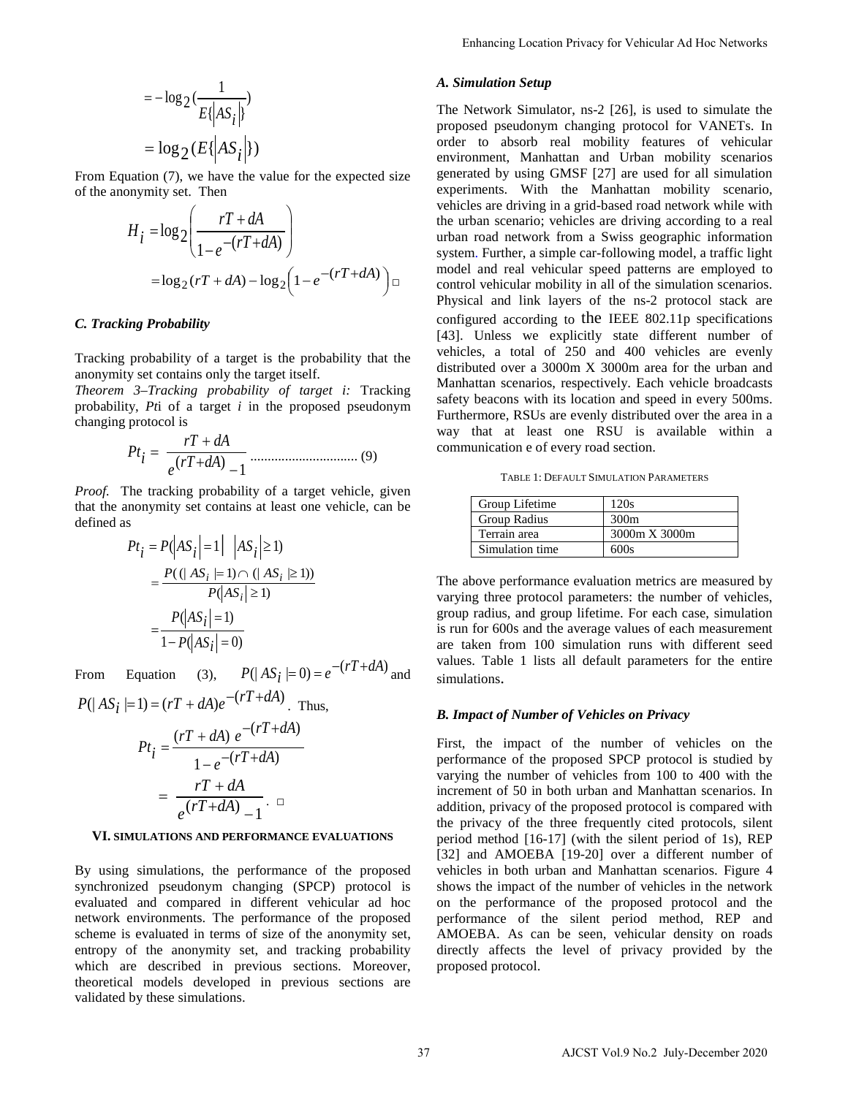$$
= -\log_2(\frac{1}{E(|AS_i|)})
$$

$$
= \log_2(E(|AS_i|))
$$

From Equation (7), we have the value for the expected size of the anonymity set. Then

$$
H_{i} = \log_2 \left( \frac{rT + dA}{1 - e^{-(rT + dA)}} \right)
$$

$$
= \log_2 (rT + dA) - \log_2 \left( 1 - e^{-(rT + dA)} \right) \square
$$

#### *C. Tracking Probability*

Tracking probability of a target is the probability that the anonymity set contains only the target itself.

*Theorem 3–Tracking probability of target i:* Tracking probability, *Pt*i of a target *i* in the proposed pseudonym changing protocol is

$$
Pt_{i} = \frac{rT + dA}{e(rT + dA) - 1}
$$
................. (9)

*Proof.* The tracking probability of a target vehicle, given that the anonymity set contains at least one vehicle, can be defined as

$$
Pt_{i} = P(|AS_{i}| = 1| |AS_{i}| \ge 1)
$$
  
= 
$$
\frac{P((|AS_{i}| = 1) \cap (|AS_{i}| \ge 1))}{P(|AS_{i}| \ge 1)}
$$
  
= 
$$
\frac{P(|AS_{i}| = 1)}{1 - P(|AS_{i}| = 0)}
$$

From Equation (3),  $P(|AS_i| = 0) = e^{-(rT + dA)}$  and

$$
P(|AS_i|=1) = (rT + dA)e^{-(rT + dA)}
$$
. Thus,

$$
Pt_{\hat{i}} = \frac{(rT + dA) e^{-(rT + dA)}}{1 - e^{-(rT + dA)}}
$$

$$
= \frac{rT + dA}{e^{(rT + dA)} - 1}.
$$

#### **VI. SIMULATIONS AND PERFORMANCE EVALUATIONS**

By using simulations, the performance of the proposed synchronized pseudonym changing (SPCP) protocol is evaluated and compared in different vehicular ad hoc network environments. The performance of the proposed scheme is evaluated in terms of size of the anonymity set, entropy of the anonymity set, and tracking probability which are described in previous sections. Moreover, theoretical models developed in previous sections are validated by these simulations.

# *A. Simulation Setup*

The Network Simulator, ns-2 [26], is used to simulate the proposed pseudonym changing protocol for VANETs. In order to absorb real mobility features of vehicular environment, Manhattan and Urban mobility scenarios generated by using GMSF [27] are used for all simulation experiments. With the Manhattan mobility scenario, vehicles are driving in a grid-based road network while with the urban scenario; vehicles are driving according to a real urban road network from a Swiss geographic information system. Further, a simple car-following model, a traffic light model and real vehicular speed patterns are employed to control vehicular mobility in all of the simulation scenarios. Physical and link layers of the ns-2 protocol stack are configured according to the IEEE 802.11p specifications [43]. Unless we explicitly state different number of vehicles, a total of 250 and 400 vehicles are evenly distributed over a 3000m X 3000m area for the urban and Manhattan scenarios, respectively. Each vehicle broadcasts safety beacons with its location and speed in every 500ms. Furthermore, RSUs are evenly distributed over the area in a way that at least one RSU is available within a communication e of every road section. Enhancing Location Privacy for Vehicular Ad Hoc Networks<br> **A. Simulation Setup**<br>
The Networks Simulator, ns-2 [26], is used to simulate the<br>
proposed pseudonym changing protocol for VANETs. In order to absorb real molecul

TABLE 1: DEFAULT SIMULATION PARAMETERS

| Group Lifetime  | 120s          |
|-----------------|---------------|
| Group Radius    | 300m          |
| Terrain area    | 3000m X 3000m |
| Simulation time | 600s          |

The above performance evaluation metrics are measured by varying three protocol parameters: the number of vehicles, group radius, and group lifetime. For each case, simulation is run for 600s and the average values of each measurement are taken from 100 simulation runs with different seed values. Table 1 lists all default parameters for the entire simulations.

#### *B. Impact of Number of Vehicles on Privacy*

First, the impact of the number of vehicles on the performance of the proposed SPCP protocol is studied by varying the number of vehicles from 100 to 400 with the increment of 50 in both urban and Manhattan scenarios. In addition, privacy of the proposed protocol is compared with the privacy of the three frequently cited protocols, silent period method [16-17] (with the silent period of 1s), REP [32] and AMOEBA [19-20] over a different number of vehicles in both urban and Manhattan scenarios. Figure 4 shows the impact of the number of vehicles in the network on the performance of the proposed protocol and the performance of the silent period method, REP and AMOEBA. As can be seen, vehicular density on roads directly affects the level of privacy provided by the proposed protocol.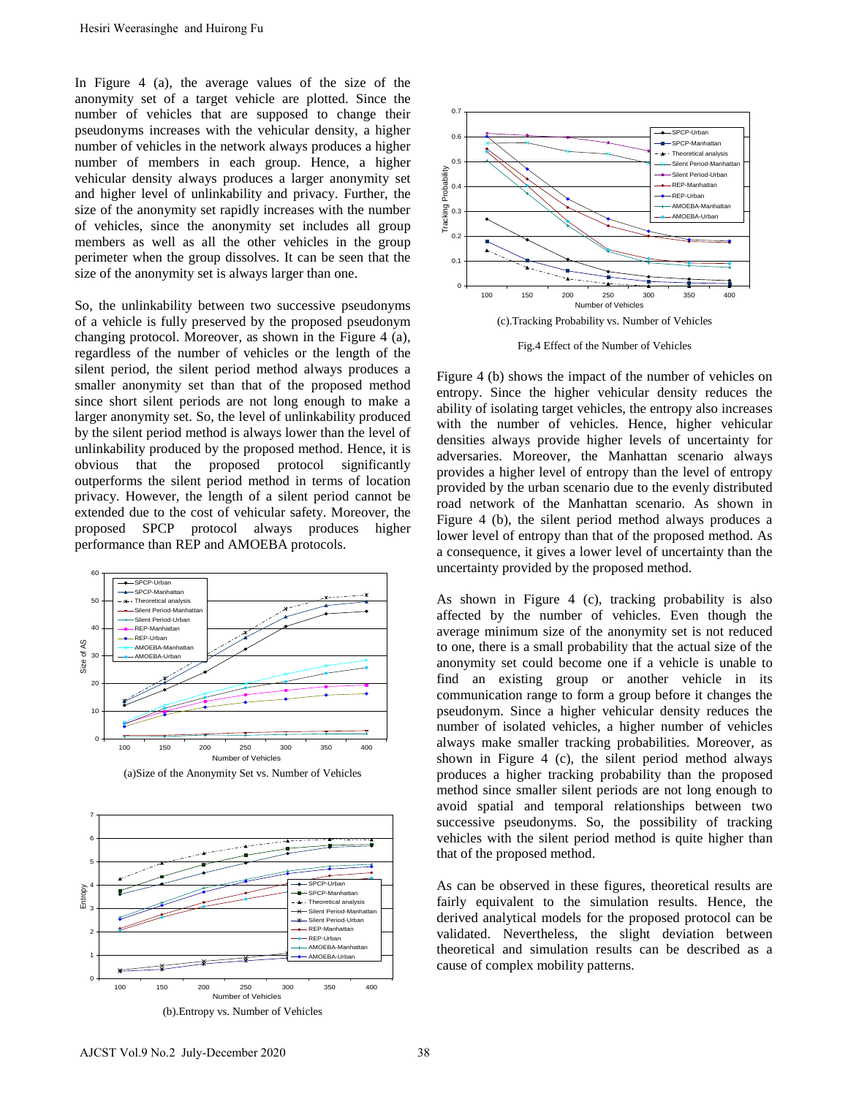In Figure 4 (a), the average values of the size of the anonymity set of a target vehicle are plotted. Since the number of vehicles that are supposed to change their pseudonyms increases with the vehicular density, a higher number of vehicles in the network always produces a higher number of members in each group. Hence, a higher vehicular density always produces a larger anonymity set and higher level of unlinkability and privacy. Further, the size of the anonymity set rapidly increases with the number of vehicles, since the anonymity set includes all group members as well as all the other vehicles in the group perimeter when the group dissolves. It can be seen that the size of the anonymity set is always larger than one.

So, the unlinkability between two successive pseudonyms of a vehicle is fully preserved by the proposed pseudonym changing protocol. Moreover, as shown in the Figure 4 (a), regardless of the number of vehicles or the length of the silent period, the silent period method always produces a smaller anonymity set than that of the proposed method since short silent periods are not long enough to make a larger anonymity set. So, the level of unlinkability produced by the silent period method is always lower than the level of unlinkability produced by the proposed method. Hence, it is obvious that the proposed protocol significantly outperforms the silent period method in terms of location privacy. However, the length of a silent period cannot be extended due to the cost of vehicular safety. Moreover, the proposed SPCP protocol always produces higher performance than REP and AMOEBA protocols. Hesiri Weerasinghe and Huirong Fu<br>
IF Egure 4 (a), the average values of the size of the size of the<br>
nonomity set of a target vehicles are sphoted. Since the<br>
number of vehicles that the average vehicle are poloed to cha



(a)Size of the Anonymity Set vs. Number of Vehicles





Fig.4 Effect of the Number of Vehicles

Figure 4 (b) shows the impact of the number of vehicles on entropy. Since the higher vehicular density reduces the ability of isolating target vehicles, the entropy also increases with the number of vehicles. Hence, higher vehicular densities always provide higher levels of uncertainty for adversaries. Moreover, the Manhattan scenario always provides a higher level of entropy than the level of entropy provided by the urban scenario due to the evenly distributed road network of the Manhattan scenario. As shown in Figure 4 (b), the silent period method always produces a lower level of entropy than that of the proposed method. As a consequence, it gives a lower level of uncertainty than the uncertainty provided by the proposed method.

As shown in Figure 4 (c), tracking probability is also affected by the number of vehicles. Even though the average minimum size of the anonymity set is not reduced to one, there is a small probability that the actual size of the anonymity set could become one if a vehicle is unable to find an existing group or another vehicle in its communication range to form a group before it changes the pseudonym. Since a higher vehicular density reduces the number of isolated vehicles, a higher number of vehicles always make smaller tracking probabilities. Moreover, as shown in Figure 4 (c), the silent period method always produces a higher tracking probability than the proposed method since smaller silent periods are not long enough to avoid spatial and temporal relationships between two successive pseudonyms. So, the possibility of tracking vehicles with the silent period method is quite higher than that of the proposed method.

As can be observed in these figures, theoretical results are fairly equivalent to the simulation results. Hence, the derived analytical models for the proposed protocol can be validated. Nevertheless, the slight deviation between theoretical and simulation results can be described as a cause of complex mobility patterns.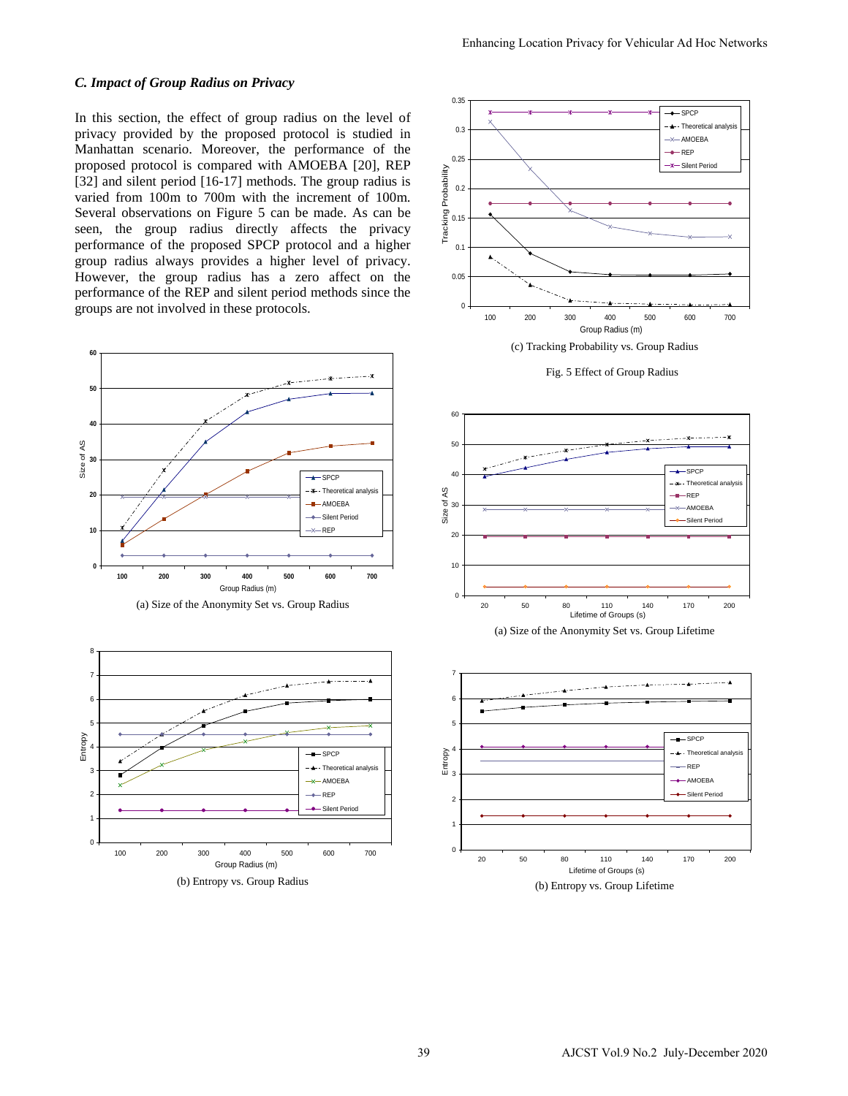# *C. Impact of Group Radius on Privacy*

In this section, the effect of group radius on the level of privacy provided by the proposed protocol is studied in Manhattan scenario. Moreover, the performance of the proposed protocol is compared with AMOEBA [20], REP [32] and silent period [16-17] methods. The group radius is varied from 100m to 700m with the increment of 100m. Several observations on Figure 5 can be made. As can be seen, the group radius directly affects the privacy performance of the proposed SPCP protocol and a higher group radius always provides a higher level of privacy. However, the group radius has a zero affect on the performance of the REP and silent period methods since the groups are not involved in these protocols.















(b) Entropy vs. Group Lifetime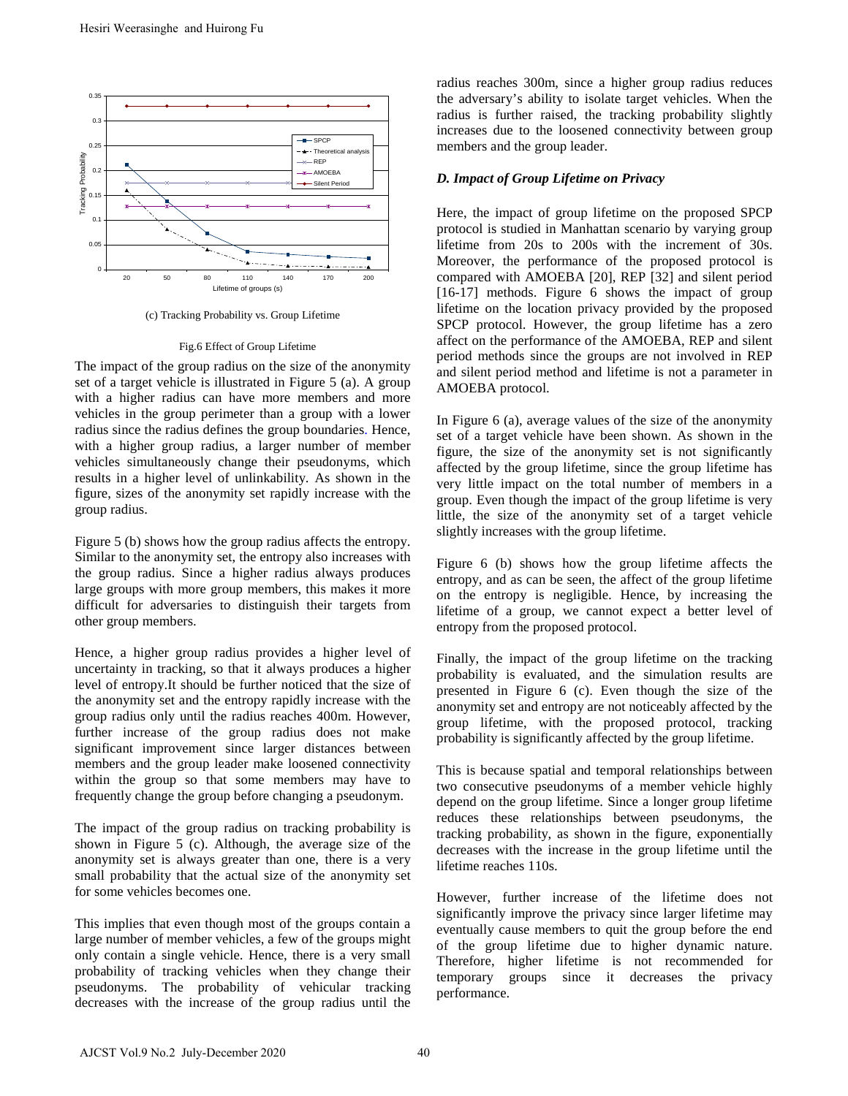

(c) Tracking Probability vs. Group Lifetime

#### Fig.6 Effect of Group Lifetime

The impact of the group radius on the size of the anonymity set of a target vehicle is illustrated in Figure 5 (a). A group with a higher radius can have more members and more vehicles in the group perimeter than a group with a lower radius since the radius defines the group boundaries. Hence, with a higher group radius, a larger number of member vehicles simultaneously change their pseudonyms, which results in a higher level of unlinkability. As shown in the figure, sizes of the anonymity set rapidly increase with the group radius.

Figure 5 (b) shows how the group radius affects the entropy. Similar to the anonymity set, the entropy also increases with the group radius. Since a higher radius always produces large groups with more group members, this makes it more difficult for adversaries to distinguish their targets from other group members.

Hence, a higher group radius provides a higher level of uncertainty in tracking, so that it always produces a higher level of entropy.It should be further noticed that the size of the anonymity set and the entropy rapidly increase with the group radius only until the radius reaches 400m. However, further increase of the group radius does not make significant improvement since larger distances between members and the group leader make loosened connectivity within the group so that some members may have to frequently change the group before changing a pseudonym.

The impact of the group radius on tracking probability is shown in Figure 5 (c). Although, the average size of the anonymity set is always greater than one, there is a very small probability that the actual size of the anonymity set for some vehicles becomes one.

This implies that even though most of the groups contain a large number of member vehicles, a few of the groups might only contain a single vehicle. Hence, there is a very small probability of tracking vehicles when they change their pseudonyms. The probability of vehicular tracking decreases with the increase of the group radius until the

radius reaches 300m, since a higher group radius reduces the adversary's ability to isolate target vehicles. When the radius is further raised, the tracking probability slightly increases due to the loosened connectivity between group members and the group leader.

# *D. Impact of Group Lifetime on Privacy*

Here, the impact of group lifetime on the proposed SPCP protocol is studied in Manhattan scenario by varying group lifetime from 20s to 200s with the increment of 30s. Moreover, the performance of the proposed protocol is compared with AMOEBA [20], REP [32] and silent period [16-17] methods. Figure 6 shows the impact of group lifetime on the location privacy provided by the proposed SPCP protocol. However, the group lifetime has a zero affect on the performance of the AMOEBA, REP and silent period methods since the groups are not involved in REP and silent period method and lifetime is not a parameter in AMOEBA protocol.

In Figure 6 (a), average values of the size of the anonymity set of a target vehicle have been shown. As shown in the figure, the size of the anonymity set is not significantly affected by the group lifetime, since the group lifetime has very little impact on the total number of members in a group. Even though the impact of the group lifetime is very little, the size of the anonymity set of a target vehicle slightly increases with the group lifetime.

Figure 6 (b) shows how the group lifetime affects the entropy, and as can be seen, the affect of the group lifetime on the entropy is negligible. Hence, by increasing the lifetime of a group, we cannot expect a better level of entropy from the proposed protocol.

Finally, the impact of the group lifetime on the tracking probability is evaluated, and the simulation results are presented in Figure 6 (c). Even though the size of the anonymity set and entropy are not noticeably affected by the group lifetime, with the proposed protocol, tracking probability is significantly affected by the group lifetime.

This is because spatial and temporal relationships between two consecutive pseudonyms of a member vehicle highly depend on the group lifetime. Since a longer group lifetime reduces these relationships between pseudonyms, the tracking probability, as shown in the figure, exponentially decreases with the increase in the group lifetime until the lifetime reaches 110s.

However, further increase of the lifetime does not significantly improve the privacy since larger lifetime may eventually cause members to quit the group before the end of the group lifetime due to higher dynamic nature. Therefore, higher lifetime is not recommended for temporary groups since it decreases the privacy performance.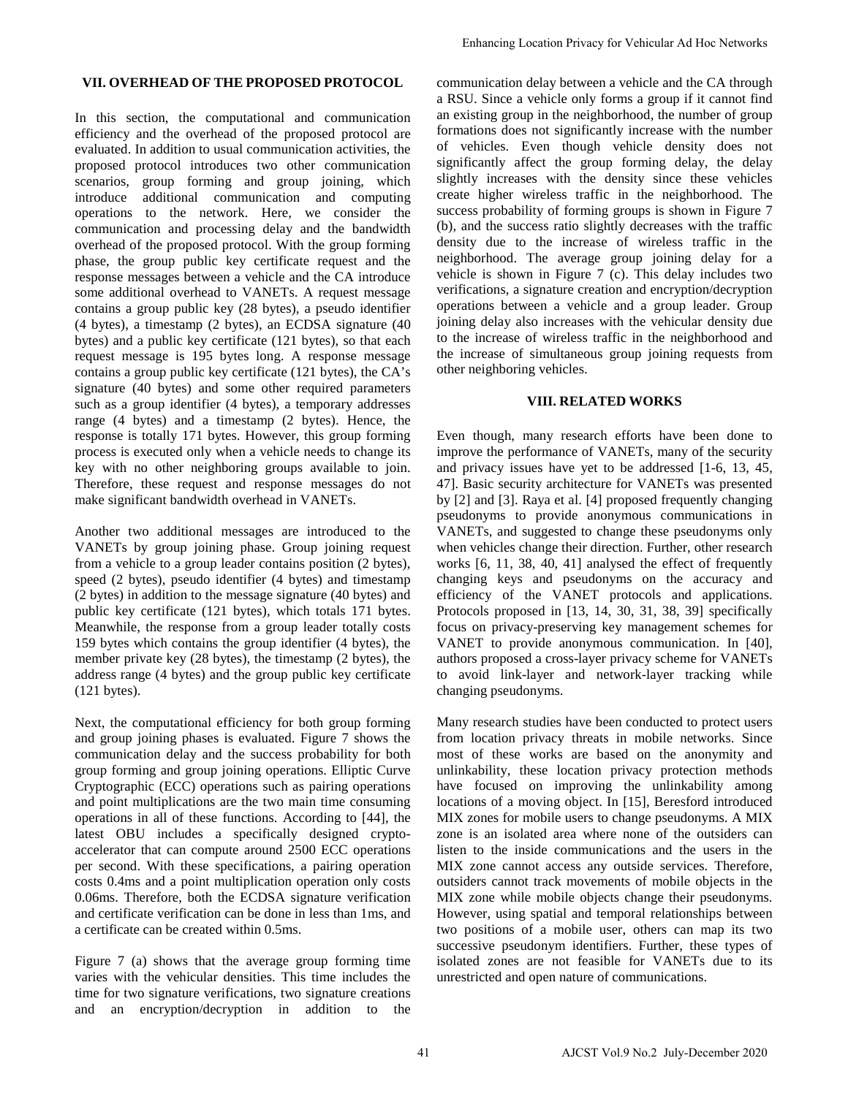### **VII. OVERHEAD OF THE PROPOSED PROTOCOL**

In this section, the computational and communication efficiency and the overhead of the proposed protocol are evaluated. In addition to usual communication activities, the proposed protocol introduces two other communication scenarios, group forming and group joining, which introduce additional communication and computing operations to the network. Here, we consider the communication and processing delay and the bandwidth overhead of the proposed protocol. With the group forming phase, the group public key certificate request and the response messages between a vehicle and the CA introduce some additional overhead to VANETs. A request message contains a group public key (28 bytes), a pseudo identifier (4 bytes), a timestamp (2 bytes), an ECDSA signature (40 bytes) and a public key certificate (121 bytes), so that each request message is 195 bytes long. A response message contains a group public key certificate (121 bytes), the CA's signature (40 bytes) and some other required parameters such as a group identifier (4 bytes), a temporary addresses range (4 bytes) and a timestamp (2 bytes). Hence, the response is totally 171 bytes. However, this group forming process is executed only when a vehicle needs to change its key with no other neighboring groups available to join. Therefore, these request and response messages do not make significant bandwidth overhead in VANETs.

Another two additional messages are introduced to the VANETs by group joining phase. Group joining request from a vehicle to a group leader contains position (2 bytes), speed (2 bytes), pseudo identifier (4 bytes) and timestamp (2 bytes) in addition to the message signature (40 bytes) and public key certificate (121 bytes), which totals 171 bytes. Meanwhile, the response from a group leader totally costs 159 bytes which contains the group identifier (4 bytes), the member private key (28 bytes), the timestamp (2 bytes), the address range (4 bytes) and the group public key certificate (121 bytes).

Next, the computational efficiency for both group forming and group joining phases is evaluated. Figure 7 shows the communication delay and the success probability for both group forming and group joining operations. Elliptic Curve Cryptographic (ECC) operations such as pairing operations and point multiplications are the two main time consuming operations in all of these functions. According to [44], the latest OBU includes a specifically designed cryptoaccelerator that can compute around 2500 ECC operations per second. With these specifications, a pairing operation costs 0.4ms and a point multiplication operation only costs 0.06ms. Therefore, both the ECDSA signature verification and certificate verification can be done in less than 1ms, and a certificate can be created within 0.5ms.

Figure 7 (a) shows that the average group forming time varies with the vehicular densities. This time includes the time for two signature verifications, two signature creations and an encryption/decryption in addition to the

communication delay between a vehicle and the CA through a RSU. Since a vehicle only forms a group if it cannot find an existing group in the neighborhood, the number of group formations does not significantly increase with the number of vehicles. Even though vehicle density does not significantly affect the group forming delay, the delay slightly increases with the density since these vehicles create higher wireless traffic in the neighborhood. The success probability of forming groups is shown in Figure 7 (b), and the success ratio slightly decreases with the traffic density due to the increase of wireless traffic in the neighborhood. The average group joining delay for a vehicle is shown in Figure 7 (c). This delay includes two verifications, a signature creation and encryption/decryption operations between a vehicle and a group leader. Group joining delay also increases with the vehicular density due to the increase of wireless traffic in the neighborhood and the increase of simultaneous group joining requests from other neighboring vehicles. Enhancing Location Privacy for Vehicular Ad Hoc Networks<br>
a RSU, Simca a which end the CA drung<br>
in a RSU, Simca a which end the Ca drung formation and<br>
in contring more in the registerative location and the red formation

# **VIII. RELATED WORKS**

Even though, many research efforts have been done to improve the performance of VANETs, many of the security and privacy issues have yet to be addressed [1-6, 13, 45, 47]. Basic security architecture for VANETs was presented by [2] and [3]. Raya et al. [4] proposed frequently changing pseudonyms to provide anonymous communications in VANETs, and suggested to change these pseudonyms only when vehicles change their direction. Further, other research works [6, 11, 38, 40, 41] analysed the effect of frequently changing keys and pseudonyms on the accuracy and efficiency of the VANET protocols and applications. Protocols proposed in [13, 14, 30, 31, 38, 39] specifically focus on privacy-preserving key management schemes for VANET to provide anonymous communication. In [40], authors proposed a cross-layer privacy scheme for VANETs to avoid link-layer and network-layer tracking while changing pseudonyms.

Many research studies have been conducted to protect users from location privacy threats in mobile networks. Since most of these works are based on the anonymity and unlinkability, these location privacy protection methods have focused on improving the unlinkability among locations of a moving object. In [15], Beresford introduced MIX zones for mobile users to change pseudonyms. A MIX zone is an isolated area where none of the outsiders can listen to the inside communications and the users in the MIX zone cannot access any outside services. Therefore, outsiders cannot track movements of mobile objects in the MIX zone while mobile objects change their pseudonyms. However, using spatial and temporal relationships between two positions of a mobile user, others can map its two successive pseudonym identifiers. Further, these types of isolated zones are not feasible for VANETs due to its unrestricted and open nature of communications.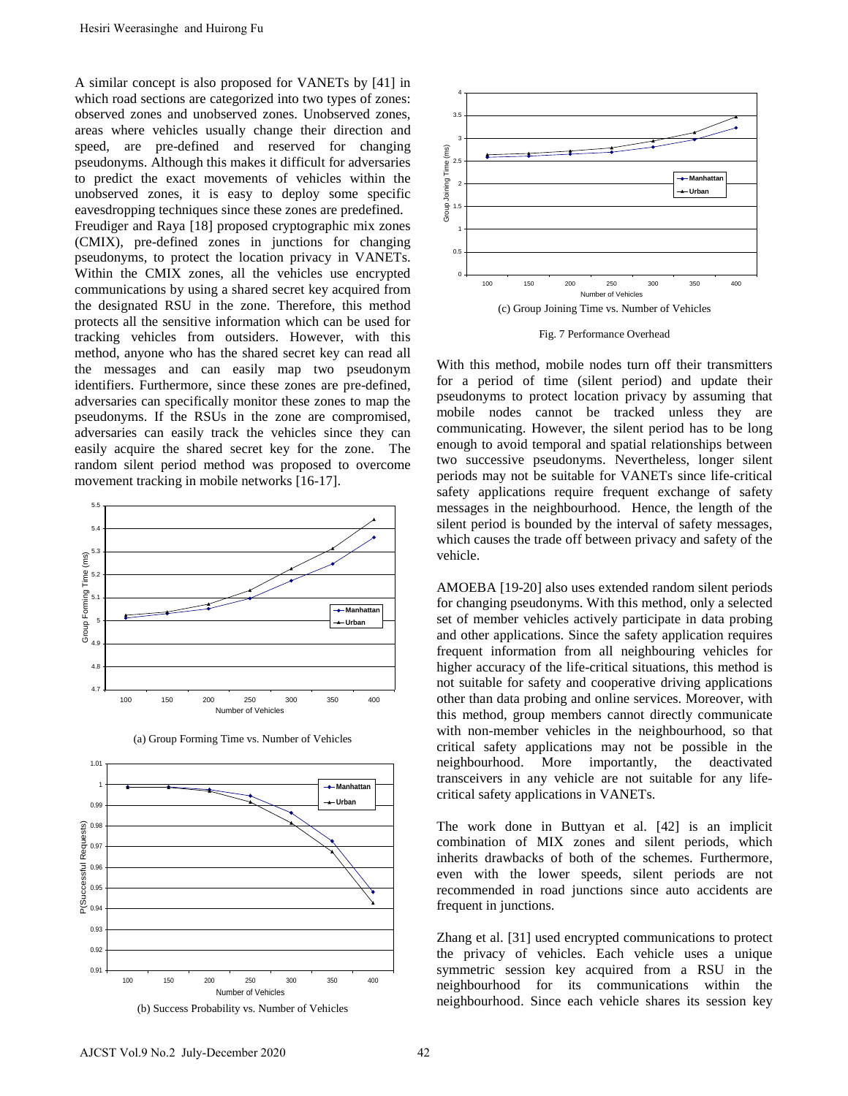A similar concept is also proposed for VANETs by [41] in which road sections are categorized into two types of zones: observed zones and unobserved zones. Unobserved zones, areas where vehicles usually change their direction and speed, are pre-defined and reserved for changing pseudonyms. Although this makes it difficult for adversaries to predict the exact movements of vehicles within the unobserved zones, it is easy to deploy some specific eavesdropping techniques since these zones are predefined. Freudiger and Raya [18] proposed cryptographic mix zones (CMIX), pre-defined zones in junctions for changing pseudonyms, to protect the location privacy in VANETs. Within the CMIX zones, all the vehicles use encrypted communications by using a shared secret key acquired from the designated RSU in the zone. Therefore, this method protects all the sensitive information which can be used for tracking vehicles from outsiders. However, with this method, anyone who has the shared secret key can read all the messages and can easily map two pseudonym identifiers. Furthermore, since these zones are pre-defined, adversaries can specifically monitor these zones to map the pseudonyms. If the RSUs in the zone are compromised, adversaries can easily track the vehicles since they can easily acquire the shared secret key for the zone. The random silent period method was proposed to overcome movement tracking in mobile networks [16-17]. Hesiri Weerasinghe and Huirong Fu<br>
Similar concept is also proposed for VANETs by [41] in<br>
Subserved zones are calegorized into two types of zones.<br>
Subserved zones where which is nature to the extent direction and<br>
subse











Fig. 7 Performance Overhead

With this method, mobile nodes turn off their transmitters for a period of time (silent period) and update their pseudonyms to protect location privacy by assuming that mobile nodes cannot be tracked unless they are communicating. However, the silent period has to be long enough to avoid temporal and spatial relationships between two successive pseudonyms. Nevertheless, longer silent periods may not be suitable for VANETs since life-critical safety applications require frequent exchange of safety messages in the neighbourhood. Hence, the length of the silent period is bounded by the interval of safety messages, which causes the trade off between privacy and safety of the vehicle.

AMOEBA [19-20] also uses extended random silent periods for changing pseudonyms. With this method, only a selected set of member vehicles actively participate in data probing and other applications. Since the safety application requires frequent information from all neighbouring vehicles for higher accuracy of the life-critical situations, this method is not suitable for safety and cooperative driving applications other than data probing and online services. Moreover, with this method, group members cannot directly communicate with non-member vehicles in the neighbourhood, so that critical safety applications may not be possible in the neighbourhood. More importantly, the deactivated transceivers in any vehicle are not suitable for any lifecritical safety applications in VANETs.

The work done in Buttyan et al. [42] is an implicit combination of MIX zones and silent periods, which inherits drawbacks of both of the schemes. Furthermore, even with the lower speeds, silent periods are not recommended in road junctions since auto accidents are frequent in junctions.

Zhang et al. [31] used encrypted communications to protect the privacy of vehicles. Each vehicle uses a unique symmetric session key acquired from a RSU in the neighbourhood for its communications within the neighbourhood. Since each vehicle shares its session key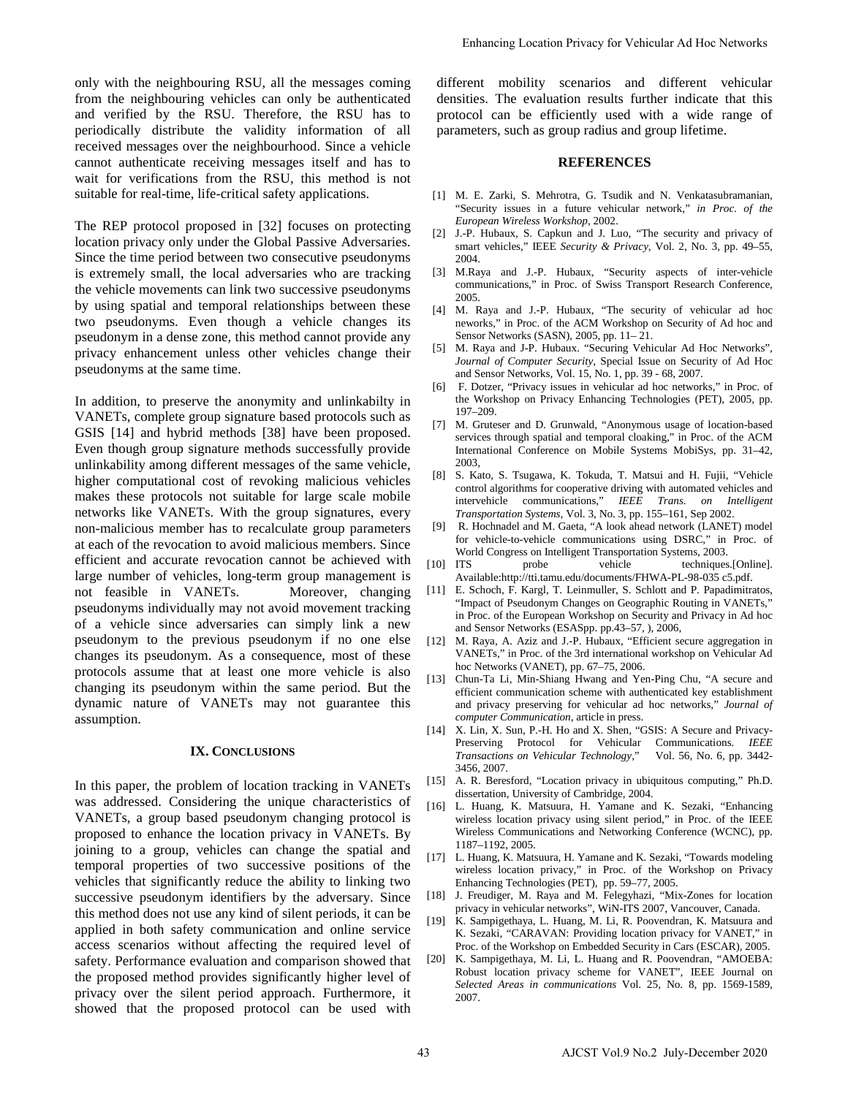only with the neighbouring RSU, all the messages coming from the neighbouring vehicles can only be authenticated and verified by the RSU. Therefore, the RSU has to periodically distribute the validity information of all received messages over the neighbourhood. Since a vehicle cannot authenticate receiving messages itself and has to wait for verifications from the RSU, this method is not suitable for real-time, life-critical safety applications.

The REP protocol proposed in [32] focuses on protecting location privacy only under the Global Passive Adversaries. Since the time period between two consecutive pseudonyms is extremely small, the local adversaries who are tracking the vehicle movements can link two successive pseudonyms by using spatial and temporal relationships between these two pseudonyms. Even though a vehicle changes its pseudonym in a dense zone, this method cannot provide any privacy enhancement unless other vehicles change their pseudonyms at the same time.

In addition, to preserve the anonymity and unlinkabilty in VANETs, complete group signature based protocols such as GSIS [14] and hybrid methods [38] have been proposed. Even though group signature methods successfully provide unlinkability among different messages of the same vehicle, higher computational cost of revoking malicious vehicles makes these protocols not suitable for large scale mobile networks like VANETs. With the group signatures, every non-malicious member has to recalculate group parameters at each of the revocation to avoid malicious members. Since efficient and accurate revocation cannot be achieved with large number of vehicles, long-term group management is not feasible in VANETs. Moreover, changing pseudonyms individually may not avoid movement tracking of a vehicle since adversaries can simply link a new pseudonym to the previous pseudonym if no one else changes its pseudonym. As a consequence, most of these protocols assume that at least one more vehicle is also changing its pseudonym within the same period. But the dynamic nature of VANETs may not guarantee this assumption.

### **IX. CONCLUSIONS**

In this paper, the problem of location tracking in VANETs was addressed. Considering the unique characteristics of VANETs, a group based pseudonym changing protocol is proposed to enhance the location privacy in VANETs. By joining to a group, vehicles can change the spatial and temporal properties of two successive positions of the vehicles that significantly reduce the ability to linking two successive pseudonym identifiers by the adversary. Since this method does not use any kind of silent periods, it can be applied in both safety communication and online service access scenarios without affecting the required level of safety. Performance evaluation and comparison showed that the proposed method provides significantly higher level of privacy over the silent period approach. Furthermore, it showed that the proposed protocol can be used with

different mobility scenarios and different vehicular densities. The evaluation results further indicate that this protocol can be efficiently used with a wide range of parameters, such as group radius and group lifetime. Enhancing Location Privacy for Vehicular Ad Hoc Networks<br>
different vehicles)<br>
different vehicles of the controlling controlling controlling products<br>
product on the efficiently sued with a wide transportation Products<br>

#### **REFERENCES**

- [1] M. E. Zarki, S. Mehrotra, G. Tsudik and N. Venkatasubramanian, "Security issues in a future vehicular network," *in Proc. of the European Wireless Workshop*, 2002.
- [2] J.-P. Hubaux, S. Capkun and J. Luo, "The security and privacy of smart vehicles," IEEE *Security & Privacy*, Vol. 2, No. 3, pp. 49–55, 2004.
- [3] M.Raya and J.-P. Hubaux, "Security aspects of inter-vehicle communications," in Proc. of Swiss Transport Research Conference, 2005.
- [4] M. Raya and J.-P. Hubaux, "The security of vehicular ad hoc neworks," in Proc. of the ACM Workshop on Security of Ad hoc and Sensor Networks (SASN), 2005, pp. 11– 21.
- [5] M. Raya and J-P. Hubaux. "Securing Vehicular Ad Hoc Networks", *Journal of Computer Security*, Special Issue on Security of Ad Hoc and Sensor Networks, Vol. 15, No. 1, pp. 39 - 68, 2007.
- [6] F. Dotzer, "Privacy issues in vehicular ad hoc networks," in Proc. of the Workshop on Privacy Enhancing Technologies (PET), 2005, pp. 197–209.
- [7] M. Gruteser and D. Grunwald, "Anonymous usage of location-based services through spatial and temporal cloaking," in Proc. of the ACM International Conference on Mobile Systems MobiSys, pp. 31–42, 2003,
- [8] S. Kato, S. Tsugawa, K. Tokuda, T. Matsui and H. Fujii, "Vehicle control algorithms for cooperative driving with automated vehicles and intervehicle communications," *IEEE Trans. on Intelligent Transportation Systems*, Vol. 3, No. 3, pp. 155–161, Sep 2002.
- [9] R. Hochnadel and M. Gaeta, "A look ahead network (LANET) model for vehicle-to-vehicle communications using DSRC," in Proc. of World Congress on Intelligent Transportation Systems, 2003.<br>
[10] ITS probe vehicle techniques
- probe vehicle techniques.[Online]. Available:http://tti.tamu.edu/documents/FHWA-PL-98-035 c5.pdf.
- [11] E. Schoch, F. Kargl, T. Leinmuller, S. Schlott and P. Papadimitratos, "Impact of Pseudonym Changes on Geographic Routing in VANETs," in Proc. of the European Workshop on Security and Privacy in Ad hoc and Sensor Networks (ESASpp. pp.43–57, ), 2006,
- [12] M. Raya, A. Aziz and J.-P. Hubaux, "Efficient secure aggregation in VANETs," in Proc. of the 3rd international workshop on Vehicular Ad hoc Networks (VANET), pp. 67–75, 2006.
- [13] Chun-Ta Li, Min-Shiang Hwang and Yen-Ping Chu, "A secure and efficient communication scheme with authenticated key establishment and privacy preserving for vehicular ad hoc networks," *Journal of computer Communication*, article in press.
- [14] X. Lin, X. Sun, P.-H. Ho and X. Shen, "GSIS: A Secure and Privacy-Preserving Protocol for Vehicular Communications. *IEEE Transactions on Vehicular Technology*," Vol. 56, No. 6, pp. 3442- 3456, 2007.
- [15] A. R. Beresford, "Location privacy in ubiquitous computing," Ph.D. dissertation, University of Cambridge, 2004.
- [16] L. Huang, K. Matsuura, H. Yamane and K. Sezaki, "Enhancing wireless location privacy using silent period," in Proc. of the IEEE Wireless Communications and Networking Conference (WCNC), pp. 1187–1192, 2005.
- [17] L. Huang, K. Matsuura, H. Yamane and K. Sezaki, "Towards modeling wireless location privacy," in Proc. of the Workshop on Privacy Enhancing Technologies (PET), pp. 59–77, 2005.
- [18] J. Freudiger, M. Raya and M. Felegyhazi, "Mix-Zones for location privacy in vehicular networks", WiN-ITS 2007, Vancouver, Canada.
- [19] K. Sampigethaya, L. Huang, M. Li, R. Poovendran, K. Matsuura and K. Sezaki, "CARAVAN: Providing location privacy for VANET," in Proc. of the Workshop on Embedded Security in Cars (ESCAR), 2005.
- [20] K. Sampigethaya, M. Li, L. Huang and R. Poovendran, "AMOEBA: Robust location privacy scheme for VANET", IEEE Journal on *Selected Areas in communications* Vol. 25, No. 8, pp. 1569-1589, 2007.